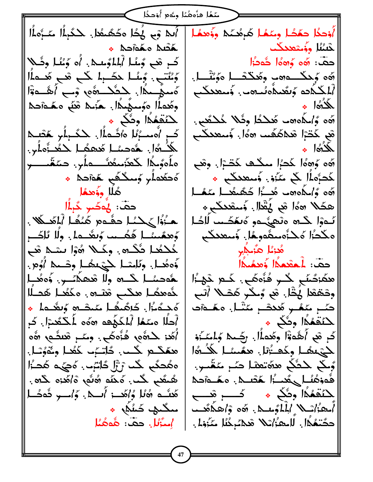مِّمُا فزَّەهُمُا وهُو أَوْحِدًا أَىمْ فِي هُجُا هَجَّمَعُمَا. حَكَيْلًا سَــرُّهَالُ أذحكا حفكا ومنشا كرفنك وذهشا تَسُلُلُ وَوُسْعِدِكَب مَحْيِدِ مِمَّأَتِكِمْ \* كَبِر هُبِي وُسُلِ أَبْلِمُؤْسِيلٍ. أَو وُسُلُلٍ وشُلا (ဆော် ) စော် စော် : ထို هُه وَحكْــــــــــهڢ وهُكْــْتَــــا هُوَيْتْـــا. وَىْتَبِ. وَسُـل حَصَـبِل كَبِ شَي هَـمالَا ەُسۈسىدًا. كَـثَكــەۋە ۋىب أَھْــەۋَا لْمُكْلَاهُ وَتَعْمَلُونُكُونَ وَسَعْدَكُمْ } وهُدماً وَوَسِيْمِيهَا. هُزَيدٌ قُنَّعٍ وَهُدَأَهِدً يكْتُمَا \* هُه وُامكُههم هُكْتُمَا وِثَلا مُكْتُفِعٍ. لْمَنْفَخَذَا وَثُكُمْ ﴾ كَبِ أُوْسِيرُنَا وَأَشُوالُ. حَكَيباُنِ هَتَنبَط هْمْ كَتْرًا شْكَكْفْسْ هَاداً. وُسْتَعْدَكْتْبِ لْكُلُوا. حُوصئا مُعفَا كَعُنُواُب. A اَهْدَا \* ەلمەرَّىكَالگەدَّىمەتْسىملَىر. ھىنقىسىر هُه وُههُا لَحَمُ! سَكُّهَ لَحَتْرًا. وَهْدِ ەْدَىدىملُو كۆمككى ئىمەتقىل ھ لَكَدِيْهِ أَلا لَّلْمَ مُنْزَوْ. وُسْعَدْكُمْ \* هُه وُأَسْلَمُوهِ مُنْ أَنْ خَشَيْئًا مُنْهَا أَ هُلَا وُؤْمِمُا هَكُلًا هَاهُ أَشْرَالٍ وَمَتَعَمَلِكِنِّ وَمَسْتَحْمَلِينَ حقّ: هُوَهُــرِ جُــِدًا هِ أَزْدًا كَكْسًا حَفْدَهِ كَنْتُمَا أَلْمَكُلا . لَـٰدَوۡا كُـُـٰدَهُ دَلَـٰهِـُـُـٰدِهِ وَالْعُكَـٰـٰٮ لَٰاكُـٰلَ وُهمُسُلِ فَكُـــب وُبِعْـــما. ولَا تُاكَـــرِ ەڭدا ەڭ ئەسقەرىما. كىنغىڭى خُلْطُا ئُكُدُهِ. وِكُلّا هُوْا بِسْلًا مْنِ هُدْمُا هُنْدِكِهِ INANO JARRAL : LOO وُوهُــا. وِنَامْـْـا لِحَيْـْئَـهُــا وِصْــٰهُ أَوُمْ. هَمَ;حَنَّــع حُـُوهُ مَ مَعْ اللَّهِ عَــم مَــم مَــم مَــم مَــم مَــم مَــم مَــم مَــم مَــم مَ هُوصِيْط كُنْ وِلَا مْعِكْتَــو. وُومُحْـا وِدْتَعْقَا لَخْتَا. هَي وُسْكُر كَحْسًا أَنْب للَّهِ مِنْكُمْ مِنْ مِنْ مَنْكُمْ لِلْهُجَاءِ مِنْ مِنْهُمْ مِنْ مِنْ مِنْ حَبْ بِمَعْسِ هُدَشَهِ مَثْلًا. مَعْدَآت ەَحەْمُ ْلِ دَامُمْھُىل مَىشىھ وَىغْىما ﴾ أَحلًا منَّعُلَ أَلْمُكَوْهِهِ 300 لِمَكْتَعَبْرَا. كَرِ لمنقفدًا وذُكَى م كَ فِي أَهْدَوْا ۖ وَهُدَلًا ﴾ رَجُـبِي وَجَامَنَـزَوْ أَهُد: لِمَدْهُورٍ هُزُوهُم . وَسَمَّ هُلْشُمْرٍ هُوَ محَمْكُــم كُــب. كَاتــَرْب خَمّْدا وِثْوَوْتَـا. لِحَيْبِيْهِا وِكَعِيَّتْلَ. مِعْسَلِ لِكَيْهَا وَكَّى حَدَّكَ هَوَتَعَمَّا حَبَّ مَغَّبِرٍ. همُحكَمٍ لَكَ رَبَّلَ حُلَّتَكٍ. هَجَيْءٍ هَجَنَّا ھُىگى گە. ەَجَهْ ھُكُو وْأَهْدَه كُلُه. هُوفَهُما حَقَّ الْمُسْمَرِ الْمُؤْمِنَةِ مِنْ مَسْتَدَامَةِ مِنْ كَعنُــد هُ ُل وُ}كَعـــز /ُنــــدْ . وُ}ـــــو شَدَكَـــل سگىھ كَسُكَر ﴾ أَحْقَدُاتِ لاَ إِلَمَاؤُمِنِكُمْ . هُو وْاهِكُلْقَسِت إِسْتُطُ. حقَّ: هُوهُمُا حكَنْهُكُا. لِلْمِعْزُاتِيْ شَدْتُرِجْنُا مَنْزَوْلَ.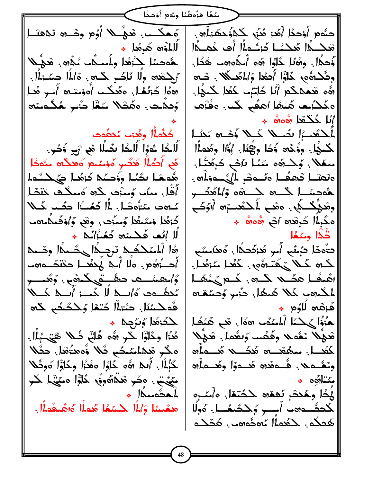مِّمُا فزُّوهُمُا وِمُومٍ أَوْحِدًا حنَّهم أُوْحِكُمْ أَهُدْ هُنِّي كَلِمُؤَحِجَدَاْهِ . َه مَكْــــــــ ، شَوْــــــــلا أُوُم وِصْـــم لَـــده لَــــد هَكَـــدًا مَكْــُــا كَنْــُــداًا أَفْ خُصــدًا لْلِلْؤُه هُرمُدِل ﴾ هُوَدِمُا لِمُنْهُدا وِلَمِعِيكُفِ مُكْتِهِ . شَيْمِيلًا وُحِدًا. وهُلا كَلَوُا هُو أَحدُوهب هُدًا. َ رَكِـتَعَدِهِ وَلَا تُلَكَّمِ كَـدِهِ . قَالَمَا صَمَّــٰٓ; أَلَ وثَكْرُهُم، خُلْوْا أُنفُط وْالمُعْكَلا . شَـ30 . ۞ أَوْ أَهْلُهُا. ۞ مَكْلُف أَوْمَنْـ۞ أَسر هُـا رةُه شمهكم أَنَا حُلْتِبٍ خَعْلِ كَبِيلٍ. وُكِلِيكَ. وَكُشْلًا سُقْلَ جُنِبٍ هُكُوسَةٍ ەڭلى بىلە ئەيغا ئەھبى كىلى مۇۋە الأمل حُكْتُها هُوهُ \* حُثَّمَلًا وهُزم مُحقَّف لَمَحْقَدِ ۚ إِلَّا تَعَمَّلا ذَوْحَـ ۞ تَحَفُـ إِلَّا ا لَالظُ غَوُا لَالظُ نَصْلًا هُو رُبِرٍ وَُحُو. لْكُنَّهَا. وِذُكُّرُه ذُكًّا وِيَحْتَلْ. إِذًا وَهُدَاًا كُمْ أَحَمَٰلَا كَحَكَسٍ كَوْمَنُتُمْ كَاهْكُلُهُ مِنْعَاجًا مىگىلا . ۇڭگەە مىلا ئاتى كېڭتا. هُوهَا بِكُبُا وَوُحِبُهِ كَرْهُا جَيُحْشُوا . هذاه عَهْدًا مَا عَهْدًا عَهْدًا عَهَدًا هُوصِيًا كُلُّ هِ كَلُّ وَٱلْمُؤَمِّرِ أَقَلَ مِنَ وَمِنْوَدٍ كَلَّهِ وَمِيكُ مَتَشَا وِتَعَوَّكُـــكِ . هَتَــمِ لَمَــكَعَــــرْه أَآوُكَــمُ سُموم مَتَوْهِصَا. لَمَا كَمَّسُرَا حَصَّب كَتَلَا كَرْهُا فِسُمُوا وَسَرَدٍ. وِهْدِ وَأَوْقُدِامِهِ ာ စီဝစီ *မို* စော်ကို နိုင်ငံ စ خُلَّا وسَمُّا لَا إِنَّفْ هَكْسْبَهِ كَعُبُرُكُمْ ﴾ دَّ:وْهَا دَبُسٌ أُس هُرْدُدهُا . هُمْاَسْسُم هدعًا أَمْتَحْتَكُمْ تَرِجِيهَ لِمُسْتَكِمَةً أَشْ أَحْسُوْهِ وَاللَّهُ لَمْ يَحْمَد الْحَقْضُـوهـ كَمَاءُ مَا مَكْمًا مِنْ مَتَّقِّلَ مَنْ مَكَّامًا مِنْ مِنْكُمْ مِنْ مَنْ ۇامھىئىسى دەئىستى كىشى. ۆئىسىر الَّمُمُوا مَكَنَّةٌ مِنْ الْمَحْمَلُ الْمُمْرَةُ مِنْ الْمُمْرَةُ كحفَّــوت وُاســــم لَل حُبــــز أســـم حَــــلا لمكتحب لَملاً كَعَمْلَ. حَزْمِهِ وَحَسَّقَتِهِ فُمكْسُلًا. حِنْتِلًا حُتْمًا وُكْحُمُّى كُلُّهَ |فَزْعُه لَاوُم مَّأَوْاً كَكُمْ أَمْمَدُ مَنْهُمَا أَيْكُمْ كَانُوا مِنْ الْمَحْمَدِ لأَكْتَاثُمَا وَبِرَجِهَا ﴾ هُذَا وِكَاوْا كُر هُ٥ هُاتْ شُلا هْتِيْرَاًا. شَمْلاً تَعْمَدْ وَقَفْسَهُ وَتَعْمَلُ. شَمْلاً ەڭر قىملى*نىڭ* بۇلا ۋەھتۇقىل. ھ*ۇلا* كَعْصَا. مىھُتْھَى مَكْسَىلا مَسْمِلُر كَنُمُلُ. أَبِيهِ هُوَ جُلُوا وَهُدًا وِجُلُواْ وَوَفَلا وتمعُّديه فُ عقده مُحدوْل ومُحداً ه مِّيْهَةٍ. وِحُرِ مْعَلَّاهُوفُ كَازًا مِنْتَمَا كُر مئنلؤه \* لَجِحًا وِـمَّحْشَرِ نَعْمَهِ لِكَتَّمَا. هُ/مَّـرِه \* Kusîrî همُسْلا وْاٰلِمَالْ حَسَمُا هُدِمَالَ وَاهُبِغُولَالِ. لْكَحثَـــە∞ٮ /ُــــــــو وُلِكَــُمـُـــا. ەُولَا هُعِكُم . حَكَمَدًا مُعَدُّوه . كَتْحَكُم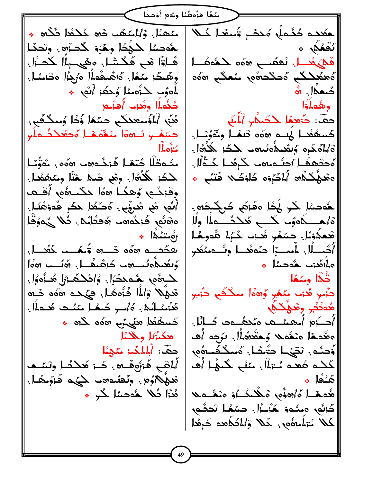مِّمُا فِزُوهُمُا وِمُومٍ أَوْحِدًا معَّنده حُذْهَلُ مُحصَّرِ وَمَعْدَلَ حُمِلًا مَعْمَالِ. وْالْمَعْفَ دْھ كْلْكْلَا ثْلُاھ \* هُوصمُا حَجُحًا وِهَزِهِ حَصْرُه وِتَحِدًا ئقمُكَل \* قُارْا مْحِ فَكْشَا. مڤيبراً كَحرُا. قْتَلِهُـا. نُفَعُب ‰ه لَــُمُومُــا وِهَىكَ; مَعْلَى ەَاهُىڤُەلُّا ەَرْبْزًا ەخْامْلىگى ەھكېلىگىم كەككەڭ مەمگىم بەكە لَمَوَّت لِكَنُّومِمُّا وَجِكَةِ أَنُّقِي ﴾  $\stackrel{*}{\infty}$ . Aa $\stackrel{*}{\infty}$ وهُملُوُّا كُثْمَلَا وهُزم أُقْزَمِ هُنَّىٰ ٱلْمُوَسِعِدِكَــبِ حَسَّمُا وَجُا وَسَكَــُعَــبِ. حقَّ: حَرْهِهُا حَجَمَهُ أَلَمَٰهُ كَسعُعُدا هَد مَعْه دَهُما وشَوْسًا. حسَّمُــرِ تــ30% مُنْقَـمْــل َهكَـلَـدُــهلُر  $\mathring{\mathbf{L}}$ ong ەُ،لەَكْرە وُىقْدەْەنْدەب لەڭغ لْمَدُّەل. مِئْـوَتْلَا كُنْـهَـا فَرْئُـوهِــ 200 . غُرُّنْـا ەددەگە ادئىمەم كېھىلىگىشل ەھرېڭىگە /اڭزە كاركى قتى . َكْحَةِ كُلُّهُ). وقَدِ صْحْ هَلْا وِسُعُعُ*كِ*ل. وقَنِيْكِ وُهِجُلْ هِءُا حَكْسِرُهِ ﴾ أَقْبَصَ ـَهُدَسُل كُـرِ <sub>لِ</sub>ُكُلّ هَفَهُمْ كَـرِكْـدِدْهِ . أَنَّهِ ۚ شَيْءٌ بِهِ ۚ وَحَنَّعُلَ حَصٍّ فَّوَوَعُنُـلٌ . هَ وَهُ لَكَ مِنْ مَعْلَمُكُمْ . ثَلاَ جُمْوَقًا ةُاهِـــدُهوَّــ كَـــــح مُحكشَـــداًا وِلَا تِّعْمَاذِمُا. حمَّمُر مُدن خَبَّا هُومِمَا \* Kûioz هكصب وهُو صْلَامْ قُلْمَسْتَ لَمُعْسَلَ. أَكَمِــلَا. لَممــــرَا حَنَّدَهُـــا ونُـــدمنُهُدِ وُىثَعْمِفْەنُىــــەب خَاصُمُعْــا. ﴿ وَيَــب الْمَامِنَ مأاهُن، هُدَهما \* خُدًا ويمْعُل ِكْتُومِ هُـْمَحْدُمُّ). وُاصْحُكْتُوْلِ هُــزُووُل. هَدِيْلا وْالْمَا هُزُّوهُا. هِيَدِهِ هِوَهِ شَهِ دَّىرِ هُٰذِٮ مِنْعُرِ وَهُءَا مِىكَـفَعِ دَّىرِ ِشَەكْتُېر وْشَهْكْيْلِ كَذُنْمَالُكَا. ݣَاسِر كَنفا مَنْت كَنفاً. أَحِبُّم أَلْعَمُلِيهِ مَكْشَيْهِ كَبِالْلَا. كَسْتُمُعْلَمْ مِنْكِيَّى مِنْ مَا كُلُونَ ﴾ ٥ﻫُﻮﻫَﺎ ﻩْﻣُﻌُﻮ ﻫُﻌَﻌَّٰذُﻭَٰٓ). ﯨﺮْﺟﻪ ﺃﻑ هگىُزُىٰل وېلْكُىٰل - حقَّ: أَلْمَلْكُمْ; مَكْمِمُلْ ُوَحِنُـْم . تَتَّهْبَـا حَتَّىـْمَا . هَمـحُـفَــوهُ ي ٱلمْهَى فَرْوَهْـه. كَــز مُعْـكْـا وتْسَــْف كَكُمْ هُجْدْ شُتِمْلَا. مَثْلُ كُنْهُا أَفْ هُنُعُلُ \* تَعَيْنَا\$وُم. وِنُعَنُّم∞ت لَكَيْء فَـٰزُومَثُمَّا. هُدهَــا هُ\هؤُه، هَـلْكُـدُاوْ هتْعُــد مُنْزَا ثَلا هُوصِمًا جُدٍ \* كَرْتُو وَمِنُومٌ هُزُمْزًا. حَمَّهُا تَحَدُّو كَمْلَا مُتِلَمُعَةً مِنْ مَكَلاً وَٱلْمُكَلِّعَةَ ضَرْهُل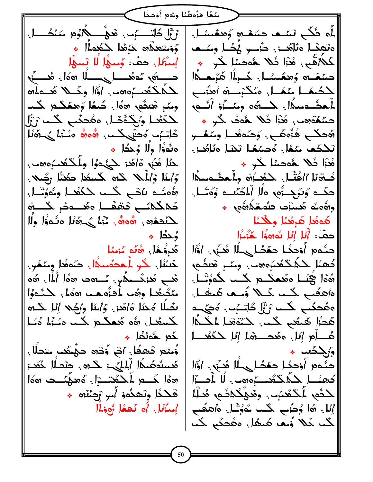مِّمُا فزُّوهُمُا وِمُومٍ أَوْحِدًا لَمْ ثَكُم تَسَّـم حسَّقَـهِ وُهمَّسُـلَ. ەتھكىل ەئلگىز. دُوسى لىكىل ومئى وَوَمِتْعِدِهُمِ حَرْمُدا حَكْمَداً \* إِسْتَمْلَا. حقَّ: وُسَيْرًا لَا تَسَيْرًا كَلَّاقُسِ. مُنْزَا ثَلا هُوصِمًا كُلِّ \* مِنْسَسِمْ . أَهْمَ الْمَسْرِمِ الْمَسْمَعْ مِهْمِسْتَ حَمَّقَــْهِ وَهُمُّسُلِّـ كَــِزْاًا هُزَمْهَــدًا لِمُكَعَبِّرُهِ مِنْ إِنَّهُمْ وَكَسَلاً هُدَهَلُو لِحَصَّمَا مَمْلٍ. مَكْتِرِحِينَ ٱهْزَىبِ وِمَٰٓ وَسَفَٰىٰ مِهُۚا ۚ. كَـٰهُا وَمِعَكُـمِ كَـٰب لْمَصَّـٰمِىمَاْ. ۞لَــِرَّهُ٥ وِمَـَــَزُوْ أَنَّــهِ لْكَعُدَا وُرَبْكُهُمْاً. ەھُحكَب كُــٰب رُزْلَ حَسَّقَة هَا. هُنْزَا ثَلا هُدَتْ لَكِن \* كَاتِمَ لِتَكُمْ مُعَمُّ بِسَكَّرِيتَهِ مِّ حَبَّلَكَ ھَٰحکَــ فُنُّہَکَــ وَحَمَّصُــا مِمَّعُـــر هِ ثُمُوْا وِلَا وُحِثًا ﴾ تَكْكُفُ مُتَمَّالٍ. وَجَمَّعُطْ تَحْتَا وَتُأْهَدِ: . حْلًا هُيَّى وْاهَدْ لْحَيُّحَوُّا وِلَمْتَكَعْبَرْهِ مِنْ. هُٰزَا ثُلا هُوصمُا حُرِ ﴾ وُاْمِنًا وَٱلْمَلَا كَلَّهُ كَسَعُدًا حَعَنًا رَجِّيلًا . كُتّْوَبْلُ ٱاهْتْبَلْ. حَكْتُرْوَه وِلْمَدَّعْبِدَا حكَــه وَبَرْجِــزُهر ولَا الْمَكَنَـــه وُهَتْــل. رَّةُوشُمْ لَاصْبِ لَكْسَا لِكَفْسَا وِشُوُشْاً. كمكمئب تفقا مغصفر كبف وِرةُهِ هُسْنَد حقُمَّكُمْرَةُ ﴾ الم اُوْهُ، شَمْعَ اللَّهُ مِنْ اللَّهُ مِنْ اللَّهُ مِنْ اللَّهُ وَالْمَرْكَبَةُ كموهل كرهدا ولمكار حقَّ: أَمُلَ إِمُلَ ثَوْهِ وَوَلَا هَنَّكُواْ وُحدُل ﴾ كَدِوُهُا. 30َ مُزْمَدًا حنَّـه من أُوْحكُـلْ حَمَّكُـلْــها مُنَّـهِ . /وَّالْ خْشُفَا. كُلّْ الْمَحَدَّمِيكَا. حَنْدَهُا فِي مِنْكُو. كَهْلَا لِلْمُلْكُمْبُوهِ . وَمَمْ هُلَائِمِ قب هُزمُـــمكْرِ. ـُـــــــوت هوُا اُلمَالَ هُو هُوْلُ كُلُما ومُعَكَّم كُبْ حُوُثُمْ. مَكَتْتُعَلُّمْ وَهُمَّا لَمْقُوْمِهِمْ هَاهُمْ بِالْحَدْوَارِ ەُاھقىي كىما كىلا قىسما كىشل. بِصَلَا مَجْلًا وْاهْدْ. وْاللَّه وْإِجْهِ إِلَّا حْـ بِهِ ەھْھكىم كىلىد تْزَلْ ھُاتىئِد. كَاتى هُدُا هَمُع كَبِّ. حَيَّةَهْا الْكُلُّا كَسِعْدا. وَهُو مُعِمْكُمْ كَتَبْ وَسُنْهَا وَسَا ِّكُم هُوَيُكُمْ ﴾ هُــــأمِ إِمَّا. وهُدَـــــوْهَا إِمَّا حَكَمُنَـــأ وُمثم تَعفُل آتَ وُتَـْه حَهُـمَّب مثحلًا . وُمِيْتُكُفْ \* مَّسنُهمَّدهُا أَبْلَيْ: حَمْدٍ. حَنْصَلًا خُمَّد: حَدَّه مِنْكُمْ الْمِرْسَلَتْ مَحْدًا مِنْكُمْ وَمُنْقَدِينَ مِنْ كَعْمُسًا حَكَمْحَكْمُسْبَوْمِوتَ. لَا أَحْسَنْوَا هِهُمْ لَمِسْمٍ لَمَحْقَقَتِهِمْ. هُمِيْمَسْمِدِ هِهُمْ ْفَكْمًا وْتَعَثُّو*ْ أُم*ْ رَّكِنْتُه ۚ لْحَثُمِ لَمُكْتُمَنِ وَشَوْحُكُمْثُمِ هُـلْمُ إِسْزُنُا ﴾ أَنْ كَعْمًا زُوْدَاً ا إِمَّا. هَا وُحَبَّى كُبَ غَوْثَا. هَاهَفُى كُما مُلَّا وُّمِهَ مُنطُلَّ هُمْتُمْ كُمَّا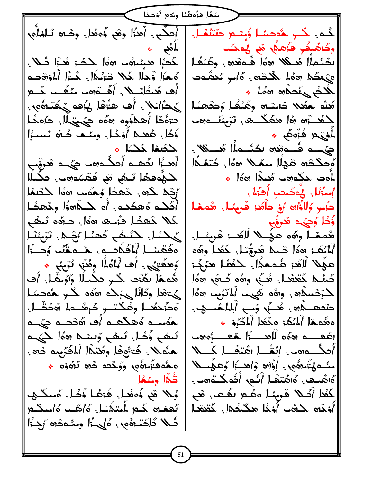مِّمُا فزُّوهُمُا وِمُوم أَوْحِدًا أُحكُم . أَهْنَا وقْعٍ وَجَعَداً. وَشَدَّ تَبَاوَلَهُمْ حْد. حُب حُوصمُا وُبِئِي صَنْعُمَا. آھُو ِ ∻ وَكَاهُدُهُو هَزَهِكُمْ هُوَ لِهَجْتُ كَحرُا هِسُمُه وَ أَلاَ حَكَّرٌ مُحَرَّا شَلاً . لَّصُدُاً مُحِمَّلًا هَا هُدْهُمْ. وَكُنُعًا هَمَّا وْحِلَا خَلا دْتِكُمَّا. حُتْرَا أَمْوَهُده هَ مَكْمٌ مِهْمُ الْمُدْدَهِ. هَامِ مُكْسَدَه أُف مُددُاسْـــلا : أَكُـــة مِن مَدَّفَــب كَـــمِ \* Lóo order Al . مِهْمَنَّفْرَ معنْ لَهُنْه ها بِمَانْصرَ هُنُه هِقُلا دْسْدَه وِكُنُفُا وُحِثْهَا ا دَرْهُدًا أَهْلَأُوهِ 200 حَيْجَةًا. حَادَخًا لِمُعْدَّمَهُ مَا مِكْلِّىهِ. تَزْمِئَنِّـــــــــ م وَّكُل هُعْكُمْ أَوْخُلْ. ومِّنْتُ كُنْ تُسْتُرُلْ أَوْيَ مِ هُزُّهَ مَى \* حَيْ ــه هُـــمِيْده ىكَــُــملَا هَــــلَا . حدثها حْكِما \* أهبأا تقعد أحكّمه تهك شرقَب وُحِكْتُهِ مُهْلًا سِمًى اللهُ عَالَ. كُنْعُدًا لْحَدُّوهُمَا نُتْهُمْ هُمْ فَقْسُوهَا وَحَمْلًا } ماود حكومت مُحدًّا هوا \* إمتَّائل لمحَكْمَدِ أَهْلَا. بَّدِّهُ كَلُهُ. خَعْشًا وَحَمَّت 10\$ كَتْتَغَا أَكِّكُمْ هُهْكُمْمْ. أَهْ كَتَلَاهُوُا وِخْهَكُمْ حَنُسٍ وَلِلزُّارُه رُوْ حَالَكَنْ قَرِيمًا. هُمْهَا كَلا خَعْصًا عَنْصَهِ هِمَا. حَقَّهِ تَعْقُم |وَٰڪُل وَڃَےٰ؎ شَوۡهُعِ<br>|شَمشا وِشَہ عَجُـــلا لَائَـــۃ شَوِیـُــا۔ كحماء حلسف كعنا رَضِه. ترجمنا وَفَقِيتِهِ أَلْمُكُوسِدٍ. هُــوهُنَّد وُحِــزُا ٱلْمُكَّةِ 50\$ شَمِعْ شَرَقُتِيلَ. كَفُعَلَ وَ9َهَ وَهِ هَيْ } . أَهَا أَوْمَاً إِهْيَٰهِ نُرْبَعُ ﴾ . هِهُلا لَامًا هُـمِـمَا. حَمُّلْ مِرَجَّا هُدهَا بَكْتُوبِ حُسْرٍ حَكْسَلًا وَٱوْتَثْمَارِ. أَف كَسُّكُ كَقْتُقْدًا. هُنَّىٰ وَهُّه كَــهَى هَهُا لَمُتَوَمَّا وَكَانُوا مِكْبِرٍ الْأَلْمَى بِكَمَّاتِهِ مِنْ مَسَائِلِ لِحْتَمْسَمَاهُ . وَهُمْ هَيْبَ أَلْمَ تُجْمِيبُ هَا أَ حَقَّصَدُونَ، هُنَّى وَبِ أَبْلَاهُمِينَ. َهَدَٰىٰهُما وهُكْتَــرِ كَبِشُــها هَٰكُتْــا. ەھْدىقا *(ئاڭ*كز مڭغا *(ئاڭزۇ* \* هم ن م عن الله عن الله عن الله عن الله عن الله عن الله عن الله عن الله عن الله عن الله عن الله عن ا ئىھُے وَٰحُل. ئىھُے وَىسْلا «ەَا لِحَيْ؎ الَّهْفِــــهِ مَاهَهِ لْلْهَــــأَلْمَهْـــــوْهِهِ هنَّملا . فَتزْوَهْا ومُنَـٰدًا ٱلْمَكْرَمِـٰهِ دْهِ . أحكْسوهم. إنْغُسا اهْتْقْسا كَسْلًا مَشْمِيَّتُوهُمْ، إِذْاهَ وْاهْشَا وُهِيْمِيْلا ه هُوَهِ: وَهُوَهُ هِ وَهُوَ مِنْ اللهُ وَهِ ەَاكْسە. ەَاكْتْقْا أْنُمْ أْثْمَكْتْمَى. ذُكَّا وسُمُّا وُلا قَعٍ وَُوهُمَا. قُرْهُا وَمُا. وَسَكَّنِي كَثُلاً أَكُــلاً قَرِيبًـا همُّــم تَفَــم. شَــ أُوْحْرَه لِحَرْهُ أُوْحُلُ هِكُمُكُمْلَ. كَقَفْصًا تَعْقَدُهُ لَحْمَ لَمُتَدَّلَ وَأَهُب وَأَسْكُمْ ثَــلا كَاكَـتــەُّە، وَكَلَــةُ مِنْــوَدُه رَجـةُ!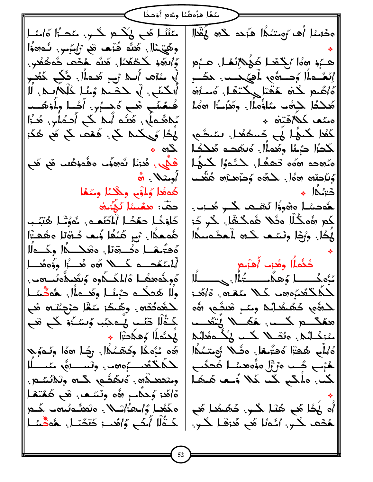مِّمُا فزُّوهُمُا وِمُومٍ أَوْحِدًا هدَّمل أَفْ رُوسَنُكُمُ فَذَهَا كُلُوا لِثَقْرًا مَنْشَا هُبِ لِكُـــمِ كُـــرٍ. مَنْصَرًٰا هَ/مُــا وهَيْهَالَ. هَنُهُ فُنْهَا هُوَ رَُاجِبِ فَهِ وَهُوَا ھۓو ہوا کیکھلے کُٹھانگل مے ﴾ مُآها اُما رُبِ هُـهاًا. ثِكِّي كَعُبِّر إِنُعْـٰهَاْ وَحَـٰهُم لَمْعَـُحَـٰب حَكَـٰب أَاكْتُبَ : ﴾ كَشَّىٰهِ وُسُل خُلْلاً لِحَارِ اللَّهُ كَامُعِ لَا تَقْتُلْمِي لِمُتَقَالِ كَامَمَاهُ فُعَمَّــح قب مَجـــرُو. أَكُــا وِلَمَوْهُــب هَٰكَـٰدًا ۚ كَـٰهُڡ مُّلَوْۚماً! . وِهَٰٓنُنَا اللهُ مَا أەسّمە ئىللاقتىن \* بُهْشُملُو. هُنُم أَسْه كُلّ أَصْفُلُو. هُـُأ بَعْظ مِّي كَمْ هُمْكُمْ مِنْ مُكْرِيَّةٍ مِنْ الْجَوْ كَعُدْ كَنْتُهَا بُي جُسِعُعُدا. تسْتَقْمِ لْكَحُرُا حَبْسُا وِمُدِماًا. وَتَعْجَدُ مُحَكْمًا  $20.4$ ِ فَكَلِّي : هُزْمُلْ نُەھۈَب ەقْدۈھُك ھَى هَي هَنُهجه ههُه تَعفُّل حَسَّوُا حُمْمًا  $\stackrel{*}{\bullet}$ .  $N_{\rightarrow}$ وَلَاحِلُه هَا). كَمَّه وَحْزَهاه هُقُّب كَمَعُطْ وَلَمْقِ وِلِكَنَا وِسَٰهَا دْنگال پ حقّ همّسْا بَهُنّ حَدَدسُا دشووُّا نُشَـٰعا لَـُــو شَــزما. بَكُمْ هُوجُّلًا وَثَلا هُوجُجُّلًا. كُبْرِ كَبْ كَافِكُمْ حَمَّكُمْ أَمْأَكْتُمْتُو . هُوُتْنَا هُبْتُب لَحُلَّا. ورُجَّا وتَسَّم كَـْ الْمَذْهِبْكَا هُممكَالَ رَبِي كَنْعًا ذُنِفَ كُنْوَنَا مَعْفَتْزَا هُ عِنْبِهْمِا وَحُصَوْبًا. وَهُكَسَمًا وَكَسْوَلَا حُذُماُ وهُن أَهْنمِ أَلْمَعَهُدَـــه كَــــلا هَه هُــــزُا وَذُههُـــا سَرْوِكِ الْمَرْسَسِينَ مِنْ الْمَسْتَمَرْكَ الْمَسْتَمَرْكَ الْمَسْتَمَرْكَ الْمَسْتَمَرْكَ الْمَسْتَمَرْ ەُوخُەمىگىل قالملىگىگوە ۇىغىنلەئىسەت. لِمُلَّقُدِّءِ٥٥ كَمَلا مَقْـ٥, ٥ أَهُـ; ولَا هَدكُــه دَّىئُــا وهُـــه|أ. هُهَفُّـنُــا لْمُعْمَدُهِ. وِهَىدًا مَمْثَلُ حَرْجِئْتُهِ هُلْ لِهُ مَعْكُمُلُمْ مِمْ شَفْعِهِ هُوَ كَتْݣَالْ طْنُتْ لْمُحْكِبْ وُسْتُوْمْ لْكُلّْ هْلْ هفكَّ م كَسَبٌ. هُكَسَلًا يُتَعَسَى مْنْزِكْلْبُمْ. ەنْتْمْلا ݣْــْب يْݣُـەفْلْنَمْ بِكَثَمَا أَوْهَكُمْ \* هُه نُزُهكُمْ وِكَتّْمَـٰهُمْاً. رَجُـا هوُا وِنُـٰهَوِّيْهِ هُ/أَبِ هُڢْتَا هُڢَّتْنَـهَا. هَـُـلا رُّومِتْــُكَا ا ِمُبْبِ مُّـِـبٍ وَزَيْلِ وَذُوهِينَا مُحَكَّبٍ لِمُكَعَبِّ وَسَاقَ مَمِيلًا كُتْ. وَلَمْكُمْ كُتْ كُلًّا وُسْعَا وُسْعُدًا ومتحصكاه فكمكس لكسه وللأنسط ةَاهَٰذِ وَحِدًا وَهُ وَتَسَعَفَ هُوَ كَمُتَهَا ﴾ُہ لُحُا مَٰے ھُنَا حُبّ حُھُىعُا مَٰے ﴾ ەڭگىل ۋايھۇاتىلا . ەتھئەئىھى كىم ِكَـٰٓةُلَا أَمَكَـٰ وَاهُدــۃ كَتَكَـْــا. هُوَكُّـمُــا هُتَّتِ كُــُرٍ. ٱشْـهُ/ هُــع هُـْوَفْـا كُــُرٍ.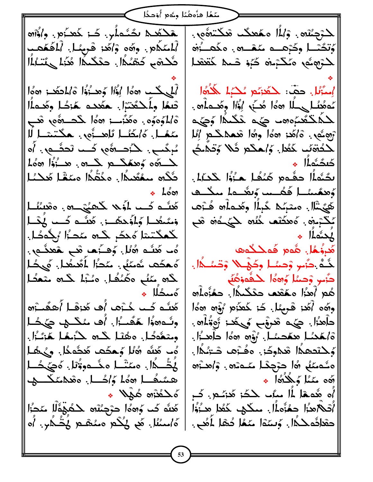مِّمُا فزُّوهُمُا وهُو أَوْحِدُا لْمَرْجِئْتُهِ. وْݣَالْ مْعْعَكْ شْكْتْبَةُو، هْكْكُمْ بِكُنُّمْلُو. كَـَمْ كَعْـزَمْ. وْأَوّْآه ٱلْمُتَكَلُّمُ , وَهُوَ وَٱهَٰذَ قَوِيمًا. ٱلْمُقَصََّبِ وُتَكْتَسا وكَرْهَـــه مَكْتَـــهِ . هكَهـــزُه لْمَرْجِيَهِ مَكْثِبِينَ كَبُو صَبْطٍ كَقْفَصْل الْمَاسْرَ لِمَنْهَ الْمَكْتَ . الْمَنْقَعْ وِهَكُ الْمَسْتَمَرِ إستَّالَ. حقَّ: كَعَنْتُمْ تُكْبَلُ كَلَّاهُ! أَمْلِ كُلُّفَ الْمُؤَالِّ وَهَدْ ذُوَّا وْكَادْتُهَا: وَهَا ا تَعِمُلُ وِلَمَحْتَثِرًا. حَقَدَهُ خَزَجًا وَقَدْمَلَا مُعَامُلِ لِلَّهُ الْأَوْلَاءِ وَمُحَسَنَةٍ مِنْ الْمُحَمَّدَةِ بِمَعْلَمَةٍ مِنْ الْمُحَمَّدَةِ بِ لِمُتَعَبِّدِهِ حَيْءٍ شَكْمُ أَجِيَءٍ ەُلمۇەۋە . ەھُنُوپ ۋە كې ھُپ قىس مَعْصَلِ وَاحْتُصَلَّ تَلْحَدُونِ عَلَيْتَ اللَّهُ لَلَّهُ عَلَيْتُ اللَّهَ تَرْجِعُهِ . وَأَهَدَ هَوَا وَهَا شَعْمَكُمْ إِلَهْ مُبِكَبٍ . لِمُنَ صَدَّى كَسب تَحشُــمٍ. أَه لْكُتْوَبُّكْ لَكْتُلا. وُ**/ه**ْكُمْ ثُلا وُتْتَدَّمْكُمْ كَى*كُمْل*َا ﴾ لمَسْهُمْ وُهِكُمْكُمْ لِكُنْهُ . هِـأَوُّا هُمَا بِكَثَهاُ حَقْمِ مَنْقُا هِزْوُا جَحَالَمَ. ضَّكُه معْقَدِهْ!. محْقُلُه! مِمْقَا قَدْسُا وُهمُسْنُا فَقُسْمَا وُلِعُسَاءَ سِكْسُفَ  $\cdot$   $\sim$   $\sim$   $\sim$ هَنُــه كَـــد لمُؤَلَّا لَكْــْمَــُنْ ــــره . هُمِّنْنُــا هَيَّتْال: مِسْرَبُمْ جُرِبْلَ وِهُدِمْلُو هُـرْف فِسَُعُداً وَلَمُحَكَّزَ. هَنُده كَــب لَجْداً كَحْرْمِيهْ ﴾ هُمْكُنْفَ لَهُلُهُ لَكَيْكُمْهُ هُمْ كَمْكَتْسْلَا مُحَكِّرٍ كَـْ مَعْجَدًا رُكِّمَحُـلَ. \* المشَّمل هُدِوُهُا. هُمْ فَمَكْدُه ەُب مَحْشُم ھُلا. وَهِـنَجم هُب حَمْحَشُم، لَّكُرِهُ .لَكَمَعَةُ انْعَدَ، مُمَّتَكَ هُ مَكْمَهُ حَّـةٌ حَزْمِرٍ وْحِسْـا وِكَـهْــلا وْصّْــدًا. لْحُرْهِ مِمْلُو مِنْ مِنْ مِنْ الْحَسْنَ مَعْصَلَ دُّسِ وْحِسًا وُ۞هُا ۖ حَـقُووْهُهُـ مُع أَهْزًا مِمَّعْم حَكَمْمًا. حَمَّزُه لَه ەممكللە هُنْدَ كَبْ خُنْزَهَا أُفْ هُرْقْبَلِ أُهْقُبْرْنَ وِهُه أَهُدَ قَوِيمًا. کَ نَکْعَزُهِ رُؤْهِ هَءُا حاهُمَا . حَيْمَ شَعْرَفَ وَجَعَةَ وَجَعَلْنَاهُ . وِلْــهِوَٰوَٰا ـمَفَـــُزَا. أَف مَنْكَــنِ حَكِـحًــا وِسْعُوْصًا. وَهُمْل كُلُو كُبْسُهَا هَبْشُوْلَ. هُ/هُدُــا همُحـَـئــا. }وَّوه هوُا حاهــُوا. هُــ هَٰنُهُ هُـُلْم وَـعتَـصـه هَـثَـمـهُـلْ. ويُـتَصَـلْم وَحِلْتَحِعَجَالَ هَجُوجَزٍ. وَهُنَّوَفٍ شَيْخُطُلُ. لْمَشْــٰٰهُا. مِمَّتْــا مِـثَــووَّتَا. هَجَيْحُــا مْتَمِمَّهُ هَٰا حَرَّجِكَمْ مَّدَتَهِ . وَٱهْدَرَه أةه مَمْلاً وَلِلْكُوْا ﴾ ھسُڪُل ھەُلم وُاڪُل. ھەھلىئىگىچى a Lado dalla ﴾ُہ هُدهَا لَمَا سمَّد حَكَّرَ هُزَمُـُمْ. كَـرِ هَٰنُه کَٮ وُههُا حرْجِنُنْه ۖ حَكُوْهُ الْمَحْزَا أَثْلاَهَا حَمُّزُهاً). سَكَّلَى خَفَا هَـزُوَّا ەُ،مىنُدا. ھَع كِكُم مىنىڤىم كَتْـُـكُمْ. أَه حقَالِثُمِكِمَا. وَبِسَمْا سَمَا دُهَا لَمُعَ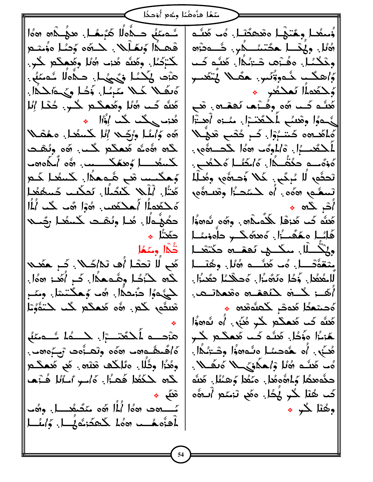مِّمُا فزُّوهُمُا وِمُومٍ أَوْحِدًا وُمعُدا وِهُتَهْا هِ هُدَيْتَا. هُ حَفَّد شَمْهُ صَدْهَا الْمُبْسُلَ. مَرْضَلَاه هَءَا فَعِيدًا وَبِمَالِكَ . كَيْهُمْ وَصُلًّا هُوَسْتُمْ هُمُل: وِلَكَــا هَكْتُمُـــدُبِ. دُـــدِتَرَه كَتْرَكْبُلْ. وِهَنْهُ هُذِب هُالْم وِهُمِكُمْ لَحُدٍ. وِكْكُمَا. وَفُـزْهَا شَـٰزْبُكَا. هَٰنُـه كَـب هَوْد مِنْكُمْ فَيُحِيْجِهِ مِنْهِ الْمُكُلِّ عَهْدَ . وَاهكَبِ خُدوَةُنُس، هَصُلاً لَيْتَعُصُو هُنَّكُ لَّكُمْ مَبْنُهُ. وَّكُمْ وَكَمَلْكُمْ . |وُحْكُدەاُ لُعْجَمُوں م هُنْدَ كَــد هُمْ وِهُــنْمَا نُعْقَــْهِ . هَــع مَّتُه كَـــ هُمُّا ومَّحكَّــم كُـــو. كُحْـا إِمُّا يُحوُل وقَعِئُم لِمَكْفَتَتْرَا. مئة و أُهْتَرَا هُداهُمْ الله مَكْسِ مِنْهُمْ اللَّهُ هُه وَاسُلَ وَرُكِيهِ إِلَا يَكْسِعُدَا. مِمْصْلًا كَالْهُدِهِ ۚ صَنَّـٰ إِوَّا. كَــرٍ كُتَّــى شَوْبِـلا كَمَه ، هُوَمُهُ مُعْمَكُم لَكُسٍ. هُو وِنُصْحَ لْمَكْعُسِيُرًا. وْݣُلُوهُم هْوَا ݣْحَسّْوْهِ. كَسِعْسِهِ وَهِمَكَــــب. ۞ أَحَكُمُوهِ ەُوْەَسە حكْتُسكال ەلكىلا مَكْعُسى. تَحثُمِ لَا مُبِكَى ۚ. كَمْلا وُحدَّةُمِ ۚ وِهُـٰلَهُ ۇھگىسا قىي ھُـەھلَا. كىلغىل كَــم مَتْلُ. ٱلْلا لْكَنْصُلُلْ. تُمكِّنب صَنْبَعُعُد بَسِعْهِ وَوَى. أَوْ لِمُسْحَبُّا وِهْدِوَّى كَمْحَكُمُواْ أَحْكَمُصْبَ هُوْا هُبْ كُبْ أَلْمَا  $\hat{\mathcal{E}}$ ان دیک حكُمْ=وَلَا . مُحلّ ونُسْد لكَسمُحلّ رجَّحــــلا حكَنْا \* كَابُها مَعَّفُسُول. كَعِنْهُكُس حَلْمَوْمُسُل ذُمَّا ويَعْمُل وبتنسأل سكسى تعقسه حكتعما مًى لَا تَحتَـا أَف تَـدُاكَــلا . كَــرٍ ـعقَــد بِمْعَةُقَالَ. هُبَ هُنُسُم هُلُل. وِهُنَسَل كَةِ كَرْحُلُ وِهُـمَعْمَلَ. كَـرٍ أُهُدِ: 30]. للمُعْعُدل. ذُخُل هَنَّهُ مُرَّا. هُ حَكْسُل حَعْدُل. لْحَيُّووُا حَزْمِجْاً. هُبْ وَحَكَّتْبِقَا. وَسَمَّ أَهْد; لَكْسْنَ لِكَعْصَدِهِ وَشَعْلَاتِيمٍ. مْتِدُو، كَمْ فَيْ هُو مَعْدَهِ لَكُمْ حَتَوَّةٍ لِمَا هُجِسْعِظُ هُدِجْرِ لَكْعِنُوهُو \* هَنَّه کَب هَمحٌم لَکُرِ هُنَّىٰ. أَه نُهُمَوُّا هرْحــــم لَمحَمَّنــــرْا. حــــمُا شَــممّهُ ـَمُّنِيًٰا وَذُكَا. مَّتَّد كَـب مَُعَكَّـع لَكَـبِ هُنِّي. )ُه هُوَجِسًا وشُوهُوا وِجْتِهُمَّا. ەْب كېشە ھۇلم ۋاھكۈىكىلا ەتكىلا . ومُدُّا وظُّا. وَلَلكُ شَنْتُو. مَّدٍ مَُعْمَكُمْ كُلُّه كَكُعُلُّ قُعَةً!. هُاسو ٱسْأَلُلُّ قُنْقِ حِثُّەھكُمْ كُمْاهُوهُمْلْ. وَغُمْلُ كُوهِغُمُّا. هُنَّە كُت هُنَا لِكُنْ لَكُلْ. وهُي نَزْمَكُمْ أَنْتُوهُ وَ ەگ ئە كَـــــــوت رەھُ| أَلَمْ| رَهُو مَكْتَــعُـــــــــا. وِرُهَـت وهُنَا لِحُرِ \* لْمَأْمَمُــــــــ 20\$ ـكْــْقَدْنُمْكَـــا بِهِ كَلْمَــُــا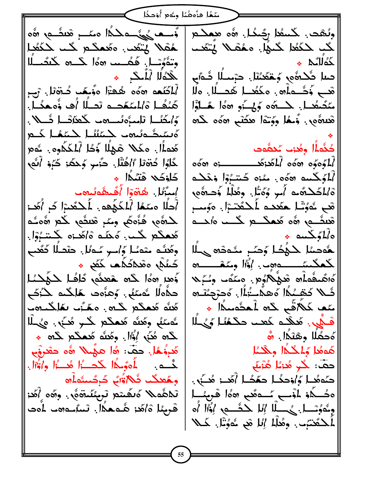مِّمُا فزُّوهُمُا وِمُوم أَوْحِدًا وَهْ مِصْنُصِهِ عَلَيْهِ مِنْ مَسْدٍ هُدَّسَمٍ وَهُ وِنُّقْت. ݣْىنْغَا رِجُنْدَا. ۞ه معطم كَ لِكَتُعَا كَمِيلَ. مِعْصْلاً يَتَعَب هُقَلاً يُتَعَبّ. هَعُمكُم لَكَب لَحَكْفاً حُدُللاً \* وتَثَوُّسًا. ۖ فَكَــب 10% كَـــ30 كَنْفَـــلَا نَّكْمُلَا أَ*لْمَحْ*رِ \* حمل شَكْتُوهِ وَحْتَمَحْتَلَ. حَبْسَلَلٍ شَمَّهِـ أَلْمُتَعَمُّدُ هُدَا مَؤْمِّفٌ شُمَّارٌ. ۚ وَبِ هَبِ ذُهُـــهلُمُ . هكَعُـــا هُـصــلًا . هلَّا كَنُفُ| هُ/لَمَعُصَد تَصِلًا أَف وُّهِعَكَ|. مَكْتُمْلِ. كَنْ وَلِيَ وَهُ أَوْلَى مَعَاوَّا وَٱمۡكُنُــا تَامِمُوۡمُـــو، كَعَلَاتَــا شَـــلا . هَدْهُمْ. ذُمُّا وَوُتْدًا هَكُسْ هَ هُ كُهْ ەتئىگەئىھە كىئشل كىتىل كىم هُدماً!. مكْلاً مْهْلًا ذُخُا ٱلْمُكْلُوهِ. غُمْ حُثَّمَلُّا ومُّذِب مُحَقَّدت ِّكَاوُا دُقَّةَلَّا ٱاهْتُلْ. حَنُّسٍ وَحَكَّدَ كَبُوْ أَنَّه*ِ* حَاوْحُد قْتَىٰدًا ﴾ ٱلْمُوَكِّسَهِ 200 مِنْهُ وَ حَسْبُوْا وَخْلَطْهِ إِسْتُطُ. هُتَوْا أَقُتْقُونُدِهِ هْ/اكْكِمُو أُس وُكْتُلْ. وِهُلْا وُدَعْهِم أَهِلًا مِنْعُلِ أَلْمُكَوَّهُمْ. لَمَكْشَرَا كَرِ أُهُد: قْبِ شُوُتْهُ هِقَدْمَ لَمَكْتَبْرَا. وَوُسْمِ تَعْتَقُسِي ، ثُمَّ تَعْمَكَسْمَ لَكْسَبَ هُ مُسْتَمَ لِهِ مُؤْمِنًا وَمَمْ مُعْلَمَهِ لَكُمْ هُءَشَهِ مُعطَّع كُب، مُنَّد ةَامُد; كِسْبُوْلَ أە/كركىسە \* للرح متحفظ بنحغ لمحوه لمنعفه وهَٰكُ مْتَمَىًّا وَاسو مُـمَلًّا. حَتَصَلًّا كَتُنب كمكش وهاب إذا وسم المسي كَسُلَّل هِ شَدْكَدُهَا لَكُعْلِ ﴾ كَاكُمْفُوْلُمْ شَيْئًالُهُمْ وَمِنْكُمْ وَسُرِّيْنَا ُوَٰٓهِۥ وَوَٰٓا ۚ خَرَى ۖ هُعِنُوۡ ۖ وَاٰهُ ۖ حَرُكُـٰہُ ۖ ۖ حفْولا شَمَعُهُ. وُهِنُوم هَا كُم حَنَّكُم ثَــلا كَتْفِــُـدّا هُـعَـدُّــُّـزُاً. هُحرْجِنْنَــْه كَنْهُ كَنْعَكُمْ كُنْهُ: مَغَنُّبُ تَغَلِّكُتُمِهَ سُمِ كَلاَقُعِ كَلَّهِ الْمَكْمِنِكَا \* شَمَعُهُ وَهُلُه هُمكُم لَكُمْ هُرَ، وَيُحَمَّلُ قَنِّي. مَحْلُده خَعْب حَكْمُنَا وَيُخَلَّا كَة هُنَّى إِذًا. وَهُنَّه هُمكُم كَة \*  $\sim$  أَهْحَمُلًا وِهْنَدًا  $\sim$ هُدِوُهُا. حقَّ: ٥/ مهْلًا ٥/٥ حقروْمٍ |كَمَعْط وُلْمَـٰكُمَّا وِلْمَـٰـُمَّا حٌدٍ. \_\_ ـ أُوَّدِمُ الكَحِسُرَٰ | مُحَسَّرًا وَإِوَّالَ حقّ: كُرِ هُزْمًا هُزْمًى وهُعكُم ثُكَلاَوُّابٌ خَرِجُمسُه{و حَمْدَهُمَا وَاوْحِكْمَا حَمَّصًا أَهُمَ: هُــَوْ . لَكَاهُكُمْ كَالْمُحْشَرْ لَرْمِئْفُمْتَةً وَاللَّهُ مِنْ أَهْدَ ەكسىگە لمۇسى ئىسەگىي ھەرا قىرىئىسا ومُوْسَسًا. ﴾ الله إِمَّا كَحُسْبَهِ إِوَّا أَه قَرِيمًا وْأَهُدْ هُـْمَــْهَــْمَا. تَـْسَأَىــْمَاهَــْ لِمُوت لَمَحْقَّدِبٍ. ومُحَلَّطُ إِمَّا هُو شَوُتْلَ. حَمَلا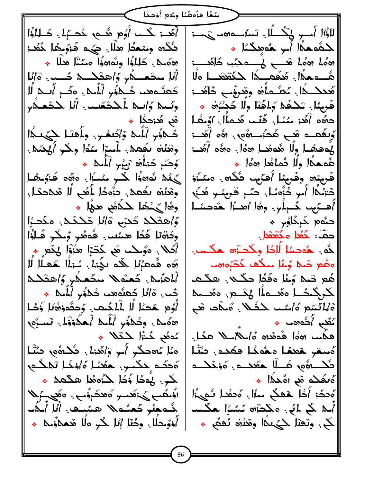مِّمُا فزُّوهُمُا وِمُومٍ أَوْحِدًا للوّْأَل أُسِيرِ وِيَكْسُلًا. تَسْلَسوهم نَّسِمَ أَهُد: كُــٰ أُوُمٍ هُــٰمٍ خُدـَبَا. كَـالمُوْا ئَكْتُ وِمْعَدًا هِلَّا. ئَيْءَ فَرَوُمِعًا لَحُكْمَ لِحَقْمِهِ الْمِرِ حُمْدِكْمًا \* هوَمِيمٍ. كَالْمُؤْلِ وِثَوْهِ وَأَوْ مِيَنَا هِلَا ﴾ مَعْهُمْ شَبِيعِ مِنْهُمْ شَمْعَهِ مِنْهُمْ مِنْهُمْ مِنْهُمْ مِنْهُمْ هُـــممُا. هَكَعـــدًا حَكَمَهَـــا هَلَا كُعنُــدهـد كُــدُوُرِ ٱلْمُــدِ. وكَــرِ ٱسـد لَل مُعطَـــكُا. مُحسَّــملَّة وِثِعرفَىـــح كَامَّــــز وِنَـٰـٰهِ وَٰاٰلـٰہِ الْكَـٰفَـٰفَـٰب الْمَالِ كَـٰفَـٰمَـٰہُر هْجِبُلْ. تَكْتُمْ وُلْمَثَلَ وِلَا كَحْبُرْهْ ۖ \* دەُه أُهُز مِّنْدا. فَلَب هُدەلًا. آوُمْھا **شی مَدزحکا** پ كُمْوُمٍ ٱلْمَمْ وْٱكْعَصِرِ. وِلْمَصْلَ بِيَهْدَأَ كُولِكُهــد شَي هُجَزَــــوهُم، وهُ من أَهَـــز وهَنُو َ نَفْعِهِ. أَسْرًا مَمَّا وكُر أَهْمَهُ. لمحصَّل وأَلَا هُدهُنا (5%). دَوَّه الْهَنَّة وَحَدٌ خَذَاَهَ رَبُّهِ ٱلْمَطِ ﴾ هُمعدًا ولَا ثَمامُدا «هُ ا قْرِيتُه وقْرِيبُا أُفْرَيب ثُلُّه . مَنْـُزَوْ كَمُكُمْ نُهُ‰َمْ لَكُـْ مِنْمَاً. وَهُوَ فَوْجُمِعْهِ ومْنُوه بِعُمِهِ. دَّوْمًا لَمُي لَا مْدَحْدًا. ِتْتَمُكُلُّا أُمِرٍ خُزُّەمُل. حَمْـ و قَوِيمُــرٍ هُــَيْ وهُا كَمُعْلَمِ لَمُلْهُم مِنْهَا \* أَهْتَرَمِينَ تَكْتِبِلُونَ وَهُمَا أَهْتَدُا حَقَّوْصِفُتُمْ وَ}هڤَكُمْ كَدْبِي وْالْلْ هْكَشُكْ. وْكُصَرّْا |حثّەم كَبِكَاوُرٖ \* |حقّ: كَعُدا مكَّقَعْقَدا. وِدُةَ ْلَا كَدًا هِيئَكَ. قُومُدِ وُحكْرِ قَـادُّا لَهُ، هُوَصِمُا لَاطُ وكُحِبْرَهِ هكْسٍ. أَكُلاً : هَوُمِكَتَ هُمْ يَحْتَرْاً هَٰذَوْاً لِكُفْرٍ \* ەھُم شَدْ وُلُمْ سَكُفْ لَحَدَّةٍ، هُه فُومُبُلْ لِكُو بِهَٰذِ ۚ. ـُـٰٓذِلًا هُـفَـلًا لَا مُع شَمْ وُلُمْ هَفُدْ حَكْمٌ. هِكْمَ أَمْاعَيْكَ. كَعِنْهِ لَا سَكَعِكْمٍ وَاهْتَكُمْ صًا. وْأَلَمْ خُمْتُوهما خُلْأُو أَلْمَلْهُ ﴾ كْمِكْتْشَا ەھْتْمَالْ كِنْتْمْ. ەھْتْمَ أُوُم ـهُـصُا لَا ـلْلَكِّـبِ. وَحثُوفُوهُا وَكُـا ة/الَسِّم هُ/سُب لهَفُلا . هُـدَّت هُـع هَمْمِهِ. وِحُمْوُرِ أَلَمْهِمْ أَهِكُووْوْلِ. تَسَبُّهِ  $\rightarrow$  مَعَب أَحْده تحفي مُتْزَا لِمَعْلا \* عكَمِ هَا فَهِ مَعْدُو وَالْمَكَّلِ هَدَا. ەمُا مُەحكُر أُمر وْاهُدَا. تْكْلُوُّى دَنْنْا كَسْفَرِ هَعْمًا مَعْمَدًا فَقَدَهِ. تَتْلَلْ فُكْسِرةُ مِنْ فَاللَّهِ مَعْدِدٍ . هُوَ خُلْكَتُ ەَحكَـٰه ِ بِمَكْـَـٰبِ. حَقَّصُّا هَاوْخُـا لَمْكُـٰهِ لْكُنْ لِمَحْلَ ذَخَلَ لِأَوْهُلُ هَكُمْهُ ﴾ |ەَىفَكُمْ شَيْ اشْكَلُّا ﴾ |مُحكَّز أَحًا هُعَكُم سأل مُحمَّد شَيْءًا الْمَبْسِينَ \$ مَحْصَرْفُوسِ وَمَعَنْ مِسْتَمَرِينَ وَمَثْلِينَ مِنْ ِكُـهِمُرِ كَعنُـهِلا هِمُبِـڢ. أَمُل أَبِكُب أَحِدْ لَحْ مَائِي. هَكْتُرُهُ مُسْئِرًا هَكْسَ أُوْوُحِلًا . وِحُبْا إِمَّا كُرِ وَلَا شَعِجْوُكُ \* لَّكِي. وِتَعْلَمُ لَكَيْبِدًا وِتْعَلَّقَ نُعْصُ \*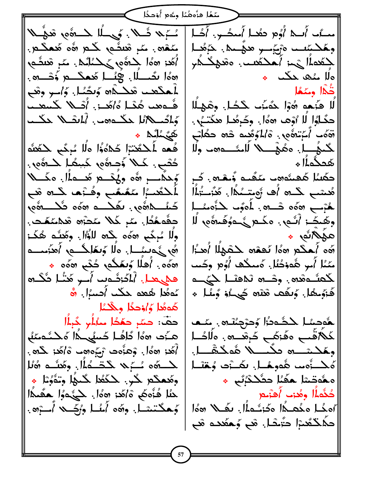مِّمُا فزُّوهُمُا وهُو أَوْحِدًا سُبُلا شَلا. مَي لَمَا لِمَسْتَمَرَّةٍ مِنْ الْمَسْتَمَرَّةِ مِنْ مىسَدَّە أُبْسِط أُوُم تْقُمَا أُمْنِصُـنِ. أُصُـا مَكْمُهِ . مَمْ هُلصَّهِ كُلْمٍ هُ٥ هُمْكُمْ. وهُكْشِفْتْ ەْتْخْتْتْ ھەسلار. جْزْهْنا بِفَكْهِمَانَ. مَعْكُمُ أَمِنَ الْمَعْكُمُ أَهُدْ هَا كَلْمُكْمَرٍ مِنْهُمْ أَهْمَا بَعْدَ أَهْمَا بَعْدَ ههُا يُمْسُلًا. وَكُسْلَ هُمِكْسِمٍ وَّصْبِهِ. ەللا ئىھا ئىك ئە لْمَكْعَبِ مْكَـٰدُهُ وَيَشَارُ. وَاسِرِ وَهْبِ أَثْمًا وسَمًا لَا هَٰۂِهو ہُوۡا حَمۡضًا حَكَٰلًا. وِصۡهَالَ ڤـەھىي ھُكْبا ەُ/ھُــز. /ُئىلا كْسىھـي ۇلمگىسلائل ھگىمەم. ، ، لمىشىلا ھگىب حكَّاوُا لَا ٱوْهَـٰ 10%. وِكَرِمُهَا هِكْتُبُ . رْهُمَا أُمَّ تَدْهُى وَالْمُؤَهَّدِ دَهِ حَمَّاتِ \* A*ll (* Š لْكُنُّهُـــا. ەكْتُمْــــــلا لَامتُــــەھە وِلَا فُعه لمُكْتَبْ كَدْهُوًّا هِ لَا خُبِكُم كَكَنَّه حُصَّى . كَمِلاً وُصِبْهُمْ كَبِيعُهِ كَسِيْهِ . هدكْملاء حكَمْنَا كَعْشَەما مَنْقَسَمْ وُمْقَاهِ. كَبِر كَمِحْكُمْــــِمْ هُء وَلَمِحْـــمِ هُـــملَمْلَ. هكَـــملا هُنْسَمِ كُنْدُهُ أَفْ زُوِيتِنُكُمَّا. هَٰذُنْـَٰٓزَٰلًا ۖ لَمَكْتَنِبُمْ مَعْمَمَى وَقُنْهُم كَنْ شَيْ كَسُــدْهُوب. بَعُدْــــه هوَه كُـْـــــرهُوب هُبْسٍ ههُه شَــه. لمُهوًى لِــُؤْمِنُــا حفَّمَعُدًا. مَر كَلا مَحْزَره شَدْمَعَت. وَهَيْتُ: أَنَّمٍ. وَكُمْ يُوْمُ وَهُ وَهُ أَلَّا وِلَا مُرِكَّعٍ 200 كَلَّهَ لِلرُّهُ!. وِهُنَّدَ هُكَـٰ; | عَجُمْ *لَهْ \** رُهُمْ يُوسُمِينَ فَيَاهُ وَتَعَالِمُكُمْ لَا يَسْتَدَمَّ مِنْهُمْ هُه أمكَّم ههُ أَنْعَفُهِ حَمْدِلًا أُهْزًا 000. أَهْلَا وَبَعَكُمْ خُنِّي 000 \* مَمْلًا أَمِرٍ هُدَوْخُلًا. دَمىڭُ الْوُمْ وكُت همهما. ٱلمُخرَّدُوبِ ٱسو مَنْـُا ثَكْـُرُه كُمْشُدْهُو. وشْدَه لْكَفْسًا لِحَيْ مُوهُدا هُعد حكَّب أصبراً. \* كَزَوۡـٰهَا ۚ. وۡلَٰكَ شَدۡتَهٖ ۖ كَـٰلُہۡ وَۡـُـُـلَ ۚ كَمَعُل وُاوْحِكْل وِلْحَسَّل حقَّا: حمَّا حَمَّحُلْ مِمْلُو جُبِلًا ـهُوصِمُــا ــــدْــُـــەدُا وُحرَّجِمُنْــه . بِمَـــم هَـزَت هوَا كَافُـا كَـسْلِيكَا وَكَـنَـمْتَهْ كَلاَقْبٍ وَفَرْضَے كَرْهْكُ، وَلَاكُمْ وهَنْسَـــة مِنْــــالا هُمكْتْـــا. أَهُد; هوُا. وْعِزُّوتْ زَيِّرُوهب وْأَهُد; كُلُّهُ . لِمَسْدَهُ وَ حَسَبِهِ لِلْكُنْسُكُمْ أَنْ وَهُنُسُمْ رَهُمُ هُكْـــزُه، هُهُوهُــا. بَعْــزْد وُهْنْــا ومَعمكم لكب. حكَمُدا لكَنهُا وتَذَوُّرًا \* معْدَسْلَا حَفْنُا حثَكْتَرْتُبْ \* هَٰلًا قُنُّوهُم وَٱهُدْ هِوَا. كَيْهُوَا هَقَدَاْ | كُنُّه لُمْ لِمَنْ وَالْمُوْسُور أَوْهَا وَهُجْدًا وَجُنُّواً. بِغَيْلاً هُوَا وُهكتبشا. وهُه أُملُه وُرَجُها أُسرْهِ. حكَمَّدْ احْتَمْدَا. هَي مُحَمَّده هَي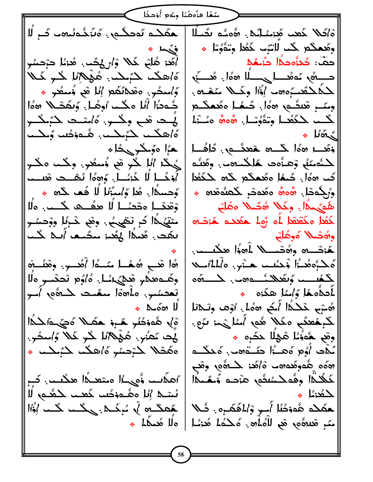مِّمُا فِزُوهُمُا وِمُومٍ أَوْحِدًا هكَكُمْ تُوْجَكُمْ ، وَيُزْجُدُونُوهِ بِ كَبِرٍ لَلْا ةُ/كُلا لَحُمْد مِّدْمُلْلُمْ. شُوشُه نصْلًا وهُمكُم كُبِ لِلْتَبِبِ كَعُدِ وَتَؤُوْثِلُ \* في المعرفي أَهُد: هُابٌ ـكُـلا وْ/; لِمُـُف. هُدْمُا حرْحِسُو حقّ : كَجْرُهِ حِمَّا حَزْبُهُمْ ەُ/ھگ خېنىپ ھُۆكلاڭا گىر كىلا مِنْسِمْ ، اِهْمَ الْمَسْرِ الْمَسْمَعْ مِمْسَمَ لِمُلْكَمِنُوهِ إِذًا وَكَلًّا مَقْدَهِ. كَوْاسْتُو، وْتْعَدّْلُكُمْ إِلَّا ثَنِي فُسْتُنُوا ﴾ خَـٰدَدُا ٱلله مكَّــٰ ٱوهُــا. وَبِـمَّتَــٰهَا هَاهَا وسًے هُلصٌمٍ ‰ا. صُمُّا ‰مَعكُم كُــد كَكَعُبْ وتَدُوْسَا. @90 0سُـَرْه کیے تھے وگ و. کامنے لگنگ ەُ/ھگــد كېلىف، ھُــەۈكلىد ۋىلــد  $\cdot$   $\frac{1}{2}$ هُ إِذْ وَمِكْنِي جَاءِ لىكدا لاإ لكىو ئىي ۇسئىر. وگىسە ەگىىر لْمُشَمَّهُ وْهِـزُّەتْ هَالْمُـــ30 . وَكُلُّــه أَوْحُــا لَا خُرْـُــا. وُ∞هُا نُصْــِحَ هُنـــَــ كَبْ هَالَ شَيْعًا هَمُعْكُمْ كَلَّهُ لَحْكَمُلًّا وَحِيجًا. هُا وَامِيُّهُا لَا قُف جُرْهِ ﴾ وُرِجُودًا. ﴿ وَ وَ وَ وَ وَ حَدِيثَ مَنْ وَ فَلَا مِنْ مَعْنَاهِ مِنْ وْتَعْضًا مِتْصُلًا لَا مِكْسِيْهِ كُنْسٍ. وَلَا هُدَيْهِكُمُّا. وَجَمَلاً هُجَمِلاً هِجَلْتَهِ مَعْدَا مَكْتَعْتَقَا لَمْ مَعْنَ مَعْدَدَ مَعْنَدَه مثنيكما كر تتفييح. وثبي حْـرْمَا ووْحسْـر بَعْدٍ. مُحَمَّا لِمُعْدِ بِيضُبُّ أَبِيلِ لَكُبَ |وەُصْلا ەُوھُلْھ هُزَهْدِ وَهُشَمْلًا لْمُوَدُّا مَكْتَمَتْ. هَٰا هَــِ هُـمُــا مُـــهُا أَهُـــبِ. وِهْنُــفِهِ كَكْبُوهُكُمْ وُحْسُب هَتْبَرٍ. وَٱلْمَالَكَ كْمُفْسِسْدْ وُبِّعُلْلْمُسْسُدْرُهِ فِي الْمُسْسَرْدُهِ مِنْ وكُـــەھكَام شَكَيْـاسًا. دُاوُم تَحتَـــو دلا Aدام الله أمثل هكزه \* لْعَصِيْسِ. وَأَرْوَةُ مِنْقَسَفَ بِكَنُّوْمٍ أَسْرِ هُنْهِم خَلْـٰهَا أُمِّعَ ههُا. ٱوْهـَ وِلْـٰالِمَا  $\bullet$  A.  $\circ \bullet$  U . وَبَعْ مَعْ أَسْفَرَ الْمَمْلِكُمْ وَسَفَعَهُمْ مَنْ الْمَكْمَامِينَ أَمْكَاهُ هُوَدُّلُو هُمْ بِهِ هَكَلاً هُوَيُّكَاهُ لَاهَ يُت مُتَمَّنٍ. تُتَمَّلُكُمُّا لَّكُنٍ كَلَّلاً وَٱسْتَكُنٍ. وقع هُوُمُا هُمِلًا حَصُرِهِ ﴾ ەككىلا لەردىئىر كاھگ لەرلىد . مُكْمَدٍ أَوُمٍ هُجَدًا جَنَسَةِمِدٍ. هُجَكَسَم هَهُو هُدوهُده وَاهُد للهُومِ وقب أحكام وأصلتها المستقص المروء وسالمهم كَلْكُمَّا وِقْمَكْسُنْفُو هَزْهُمْ وُمُعْمَلَا نُسْــدْ إِنَّا هِھُــوَدُـُـب خَصَــب لَـــمُّــم، لَا حَكْنزْمُا \* هَمَٰدُه هُوَدُمُّا أُسِرِ وْٱلْمَحَكِّرِهِ ۚ. ثَــٰلا أَأَهْلِ سَكَّرٍ مِكْتَبَهُ مِنْ أَمَرَ مِكْتَبَهِ مِنْ الْمَجْمَعِينَ مِنْ الْمُؤَالِمَ مَّىْرِ هُنْدَةُو، هُوَ الْأُمَادُ». كَمْلَتُمَا هُنْ الْمَالَ al de de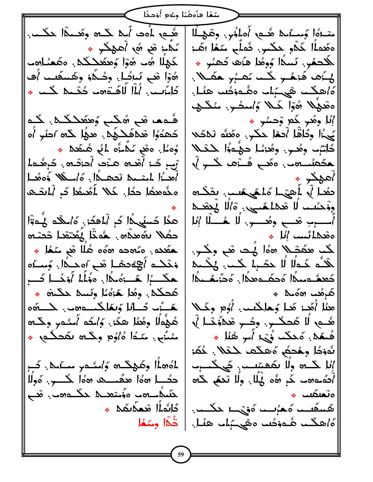مِّمُا فِزُوهُمُا وِمُومٍ أَوْحِدًا هُبِمِ لمُوت أَسِمْ حَمْدَهِ وِهُمِيمًا حَكْمٍ. مثَـادُا وَمِـــاُمِـدْ هُـــْعِ أَوْلِمُوْبِ. وِقْتِيَــلَٰا مُمَّةٍ ثُمَّ شَمْ أَعْمِكُمْ \* ەھُدە) كَدُو ھڭىن. شَەلْع مَعْمَا آھَـ: لَّكِيلًا هُ - هُوْا وُهكَعْلَـكُمْ. هكَعْمُـاهِ لْكُحِ**مُ**رِ. نُسْكًا وُوِمُدا فَأَتِكَ كُنْفِرِ \* هُوْا هُعِ يُبْائِياً. وِحُـكُوْ وِهُـبِيَفْتِ أُف لَيَّاهَا قَالِمُبْ كُنْتَ تُعْبُرْ هَقُلًا . كَامَرْتِ } } } } لَاكْتَمِ دَا كُنْتِيهِ كَتَبَ \* ەُ/ھگى ئېرىدا مەھدۇئىس ھئىل. ەقتىئىلا ئەۋا ئىلا ئۇاسئىب. مئىگىچى ڤُےما شَے شُکْلے وَمعَلِّلُکہ کے |إِنَّا وِهُدٍ لَكُمْ وْحِسُرٍ ﴾ كَيْءًا وَكُلْقًا أَدْهَا حَكْرٍ. وَهُنُه ثَلاَكُلا كَـْهَدُوُا شَـٰاهَكُـٰـهُـا وَ مَنْهَا لِكَـٰهِ آمَنُو أُه وُهْدًا. وَهُمْ كَلَمْتُو مَا فِي هُبِعُدِهِ \* حُلَّتَك وهُدٍ. وهُنْهُ حَوْجُوْا حَدْمًا آب کُ: اُهْده هـآب اُدرْکـه . کَرِهُـما أهدُ المتسلم تعصكُما. وَاسْلُلْا وَوَهُمَا أأعهكر \* صْگُمُ . بِمَعْرِهْدُهُ لَرَبْعَهُ أَوْلَى مَنْ مِنْ مِنْ الْمُحْمَدِ مذُمعمُا حمُل. كَلا لِمُعْمُل مَرِ ٱلْمَسْمَدِ مِعْكُمُ الْأَهْدِيسِهُمُكُمْ الْمَسْكَمِينَ مِنْكُمْهِمْ هَذَا حَسُنُهُا کَمِ ٱلْمَعَدَ ِ ٱلصَّلَامِ لَهُوَّا أسببِ هَبِ وهُـــــو. لَا هُـــَـلَّا إِمُل حَمُلاً سَمَعِيمَ مِنْ الْمُهَارِ لِمَعْتَقِداً حَصْبَه |ەقد∆لمىسى ¦ئا \* مَعْدهِ. ٥ مُحده ٥ هُ/ هُوَ مُعَلَّمَ كَبِ مِكْشِلاً 20\$ كُت مْعِ وِكْتِرٍ. لْخُدُه حَدالًا لَا حَصَـٰہا لَحْـب لِحْـُـباءِ وْشْلُمْ أَهْوُدْهْمَا هُمْ أَوْهِيْدًا. وُسْلَاه حكَّمُ الصَّـٰزَاتِ مِثْلًا أَوْحُـا كَـــر كَعِدْ وَسِدًا وَحِكْمُ وَمِدًا . وَحَزْمُهُ مِدًا كُحكِّـدْ. ومُعلَّـمٌوْمُـُمْ وَيُسِيدْ حَكْـدَةٍ \*  $\star$  A  $\sim$   $\sim$   $\star$ هَــُوْبِ تَـــالُا وَبِعَلِكْيـــەەب. كــــەە هنُا أُهَد: هَـا وَهاكْلب. أَوُم وكَــلا كُوْهَالُا ومُثلُا هكَ;. وُامَدَه أَمسُمر وكله هُـــمِ لَا مُحكـــرِ. وِضُــرِ هَدُفَهْـَـا لَ مْبَنْدِ. مَنْدَا دُاوُمْ وِكْلُهِ بِّكْمَكُمْ \* فُعَكَمَ. هَكَكَ فُيْءَ أُمِرٍ هُلًا ﴾ لُهوْهُا وِهُدِيُّ هُ هِكْمَا لِلْعَلَا . لَكُمْ; إِمَّا لَكَسَ وَلَا تَكُمُّسَتَ ۚ كَيْكُسُوتَ لمُعَامِمًا وَكُمِكُلُّهُ وَٱسْتَمْرِ سَلَاسًا. كَبِ آئۇمەن كېر ۋە كال. والا تككى كەن حَقْدُ سِهِمَا وَوُسْعَفْ لَمْ لَمَسْرِهِ وَسَمِينَ مِنْ ەتمىگىپ ھ دُان*دُ*الْ هَجمُونَ \* \* فسكه لمرثؤه سابهة سافسة ەُ/ھگــا ھُــەوْتُــا ەھْيــَزاما ھلُـا . | خُلا وسُمُل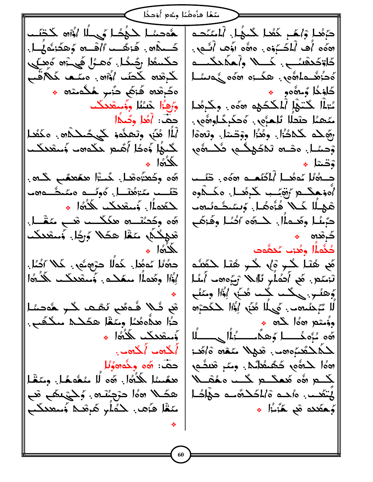مِّمُا فزُّوهُمُا وِعُومٍ أَوْحِذًا

حْدَمِسْا حَـٰهُكُـا مَى الْمُ الْأَرْوَا مَحْتِنَـٰم حكسفا رجّىئا. هَعْزَلْ فَيْءُ۞ هَمْلَى كْرِهُهُ كَلّْحَفْ الْأَاهِ. مَمَّعْ كَلاَّقْب ەكبەھ كەك كەس كىگەندە . وَوَجَدًا خَسُمًا وَوَسَعْدِكَب حقَّ: أَهُلْ وَثَيْلًا لْمَلَا هُنَىٰ وِتَعِدُّهِ لَكِيكُمِكِيْهِ وَمَكْمَلِيَّا وَمَحْكَمَلِي لَّكُنُواْ أَوْجُا أَمُّنَعَ بِكَدْهِبِ وَسَعْدِكَب <u> يمكن</u> في هُه وَحُمْتُوهُما. كَتْرَا هَمُعْهُبِ كَـُهِ. تْتُسْبْ مْنْرْهُلْسَالْ. كَوِيْسُتْ دْمْمْشْسْدْ(مْتْ) لْمَعْمِلَانَ وُسْتَعِمْكُمْ لِلْأَرْمَانِ ﴾ هُه وِكُصُبْ مِنْ مَكْلَب مُنْ مَقْلٍ. مْدِكْكُمْ سَقْاً هِكُلاً وَرِجًا. وَسقَدِكْت A اَهْلُ دهُلا مُوهُدا. هُولَا حرْهِمْهِ. هَلا أَصُلْ. إِذًا ومَّده أَا معَكَدٍ. وَمعْدكَما لَكُمُّا شَى شَلا شُەمَدى نُھْھ حُلو حُوصئا دُّا هِدْهِمْدُا مِمْقْا هِكْلُمْ سِكْفُبٍ. وُسقىنك لَكْمُا \* ألاده ألاده  $\frac{1}{2}$ حَمَّـ: وَهُ وَجُدُوهُ اللهِ همُسْلا لِكَلُهُا. هُو لَا سُعُوهُا. وسَغْدا هكلا هەُ دْجِنْتْهِ. وَلَحْيَىغَى مْع مَعْلَمَ فَأَهَا. حَدُلُو مُرْشَحَ وُسِعِدِكَبِ

دَرْهُا وْ/هَــزِ كَعُدا كَــوُّـا. ٱلْمَنَحــم هَهُه إُهِ الْمُكْبَوْهِ . هِهُه اوُها الْمَعِدِ. كَاةِكُدْهْسُبِ. كَـــلا وأَحكُدكُـــــه كَسْتَمَرُّ ٥٥٥ مِنْكُمْ . وهُمْكَ يَحْسَنُ كَافِكُا وُمِثَّەو ب سُرْاً كُتْتَوْا أُمْكَكُمُه 300. وكْرِمُها مَعْصَدًا حَتَحَلًا تَلْعَزُونَ. وَحَكَرِجُلُورُوُونَ. رَبُّهَ لَكُمْحُدُّا. ومُعُدُّا ووْتَـْمَا. وْتَـْ10ْ وۡحَسُلَ وَحۡـُـهِ تَمۡكُمۡكُــهِ ۖ ثُكُــةُوۥ وُقْمًا ﴾ حَدِّمُلْ مُوهُمَا أَمْلَكُمُ وَوَوْعٍ وَتَكْسَبُ أەفكك ورُق بالله على مكلَّفوه هْجِبُلَا خَــلا فُزُّەكْــل. وُبِسَّنْتُــەنُـەت دَّمِنُـا وهُــواًا. ۖ كِــهُو ٱدُّنُـا وفَزِهَــو كرشم كُثُماً وهُزم كَنفُوت هَم هُنَا كُلِّ وَلَىٰ كُلِّ هُنَا كَمِّنُه تَرْسَّعَ . هُمْ أَحَمَٰلُو نَّأَاهَلا رُّجِّءُ٥٥ أَسُّلَ وَهِمُسٍ فِي اللَّهُمُ اللَّهُ عَلَى اللَّهُ الرَّءُ الْمُحَمَّدِينَ مِنْ الْمُحَمَّدِينَ مِنْ الْمَ لَّا تَبْحَلُمهِ الْأَيْلِ الْمَنْ الْمِرَهَ . مَعْنَدَبَّةِ الْمَ وؤَمِنُو (50 \$60 \* لِلْمَحْمَدِ الْمُؤْمِنَةِ مِنْ الْمُسْتَمَرُّ الْمُسْتَمَرُّ الْمُسْتَمَرُّ الْمُسْتَمَرَّ الْمُسْتَمَرَّ لِمُلْكُلُومُ وهو الله مُعْلَمُ وَأَهُدَ هەُا لەھُە كَھُىغْلَىْدْ. وَسَّرِ مْعْشُوم كُمْ اللهُ مُعْكُمُ مُدْ الله عَاصَمَةِ اللهَ لْمَتَعْبِ. 16هــم 16كك\ةُ ــم حَوْلِكُمْ وُحكَّده هُم هُنْدًا \*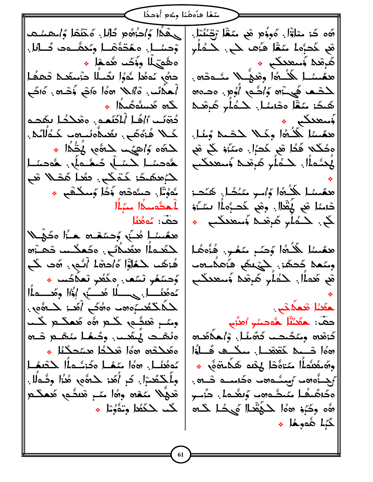مِّمُا فزُّوهُمُا وِمُومٍ أَوْحِدًا

حِمْدُا وَاحَتَمَا وَالْمَاءِ. كَانَكُمْا وَاحْقَا وَالْمَصْرِ وْحِسُــا. مَعۡتَمۡصَـا مِنۡحَفَـــٰ صَــٰالًا. د اهْمَهْ سَنَّهُم الْرِّمَةُه حمَٰی عَمَٰدا خَوَٰا نصَـٰلَا حَنۡسَعُـٰہٗ تَـٰصَفَـٰا ۖ أَهْلَائِكَ. ۞ٱللا ۞هُ أَهْلَى وَكْتُدِهِ . هَاكُمْ £ە ئىس*ت*ۇشكا \* دُةكَ ٱلْقُلْ لْلْكَنُعِينَ وَهْكَدُلْ بِغُجِيمَ كَــلا فُزْەُكَــى. ىغْنىدەقْبەت كَــەُلْلَـْمْ. أَهْتُمْ وَأَهْيَبَ لِمَرْجَهِ إِلَى أَهْلَكَمْ لْمُوَجَّدِ الْمُسْتَلَى كُنْفُتُولُ. ﴿ هُوَجِئْتُنَا لَهُوَجِئِينَا ۖ كَبْعِظْمَةَ خَدْكَبٍ. تَعْدَ هُشَلًا شَي مُوُتْاً. حَسُّوْتُهِ ۖ وَكَا وَسَكْتُمِ ۖ \* المعشمال متراك حقّ ، مُوهُلُ هَمُسُلِ هُــَنَّ وَحَسَّمْـهِ هــَٰٓا هَـُوَّــُـُلَّا لْمُعْدَمُ الْمُعْتَمَاتِ . وَهُمْكَسَبْ شَهْدَرُه هُ;هُما حَمَّازًا هُ/حمَّا أَنُم، هُد كُم ُوَْحَسِّعُوا لَسِّفَ. وَخَفُوا لَعَلَّاحُتَ \* \* كَمْمَحْتُـــا. حِــــلَّا مُحْـــَىْ إِنَّهُ! وَهَـــمِلَا لِمُلْكُثِيبِ وَمِنْ مَرْضَى أَهُدَ لِمَدَوْهِ . وسًا وَسَفِّي لَمَسْعَ وَهُوَ هُمِكْتُمْ لَمُسْتَدِينَ ەنھە ئىگىب. وڭىغا مەھىم ئىھ ەھَكْتُه ھەُ ھَكْتُا ھىئىچكْتُا ﴾ مُوهُنا. ۞هُا مَعْصَا وَدَسْواْلِ حَدْمُطْ وِلَمِكْتُدِرَا. كَرِ أُهُدِ حَدَّةٍ هُوَا وَشَمَلًا. تَعَمِّلًا مَعْقَرَهُ وَرَهَٰمْ مَمْ تَعْبُدُوا مَعْكُمْ لَّكَ حَكَمُوا وَتَدَوُّمَا ﴾

هُ٥ ڪُ¡ ﻣْﺪﺍﯞ ). ٥ُﻭﻭُﻭ ﮬُﻮ ﻣَـٰٰٰٰٰٰٰٓٓٓٓٓٓٓ وَكُنُّنَا ۚ مْعِ كَحِزُه! سَطْْ قَرْمٍ حَيْ حَسَمَاً وَ |كَبِشْدْ وُسْعَدْكُم ﴾ همُسُــا لَكُــهُا وقَدْهُــالا منُـــەدْه . لكشف فَبِيءٌ۞ وَاَشَعِ اُوُمِ. هِدَه كَمِكَرْ مَعْقًا وَدْسُلْ. حَـٰهُلُو كَرِمْحِكَ indity : همُسُلم لَكُتُهُا وِكَمِلا حَصْمَهِ وُسُلٍّ. وِڪُلادِ فَطُ هُي کَڪُرًا. مَنْزَو کُل هُي لْحَشَّمَاْلِ. حَسَمَاً مِ كَبِرْهَكْ وَسَعْدَكَنِبِ ھمُسُل كَلُّـهُا وُاسو مَنْصُل هَنَصـۃ حْسِمًا هَي يُقْدَالِ. وهي حُصرُهاَ! سَمَّرَو كُلِّ. كَــُمَلّْرِ هُـرِهْكُمْ وَسَعِيْكُمْ ﴾ ھگىئا گُدُّەا وَحَب مَعْسٍ. فُزُّەھُا وسُمه كَحقَّةِ. كَيْتَ مَعْ عَامَلَهِ م تْعِ مُدمَأَا. حَدُمَكُمْ مُرْتَعَةً وَمَتَعَمَّكَتَبِ مَعْمُا مْمَدَىّي. حقَّ: هَعُمْتْلْ هُوصِبُو ٱهْزَى كَنْݣُوه ومُكْتَحَب كَةُمُلْل: وْالْعَلّْقُدُو وَهُمْ أَحْسَنَهُمْ خَقَقْتُ الْمُحْسَنَةِ وَالْمُؤَارِ وهُمَعُثَمَاً مَتَوْدَّطَ لِكُنَّهُ هَكَمَتْهُ ﴾ كَرْجَدَ أَوْجَعَةَ مِجْسَمَةٍ مِنْ مَكْرَمِيْدِ شَدْرَةٍ . ەڭلگىگى مىشەھە كونگىمل تۇسو هُه وكِّرَهِ هوَا لِحَيْثُمِ اهْمَ حَلَّمَ لَحْدِهِ يُّهُمْ هُدُوهُا \*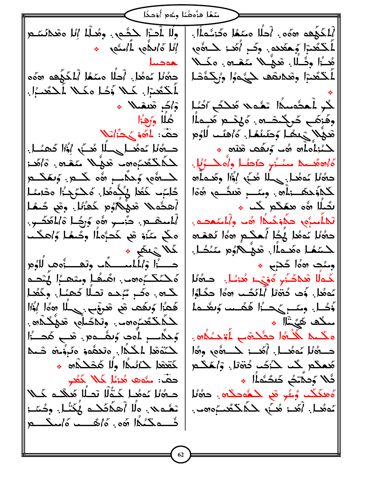| للمَعْلِ هِزُّهِكُمْ وِحُهِ أَوْحِكْلا لَمْسَمَّلْهِ مِنْ الْمُسْتَخْرَجَ الْمُسْتَخْرَجَةَ مُسْتَخْ  |                                                                           |
|-------------------------------------------------------------------------------------------------------|---------------------------------------------------------------------------|
|                                                                                                       | الْمَكْيُعَةِ مِمَّةٍ. أَجْلًا مِنْعُلِ مَخْتُجَلًا.                      |
| واللَّه الصَّرْا لِحَكِّفٍ . وهُـأَلَّمْ إِمَّا هَعْلَائِمُـمْ                                        |                                                                           |
| * مِصْدَالَم مِصْدَاة لَعَالِ                                                                         | لمُكْتَحْبْرَا وَحَمَٰىٰدَهِ . وَكُمْ أَهُدْ كُلُّوهُ وَ                  |
| الموجينا                                                                                              | هُدُا وِشَـلَا. هُدْ 1⁄4 مَـْهـره . هكـــلا                               |
| حدُّمُا مُعمَّا. أَحلًا ممَّعًا أَمْكَيْعَهِ مَعَه                                                    | لمُكْتُد،ٓا ومْدْلفْف حْيُوءُا وزُنِّخْفُصْا                              |
| لمَتَعُبْلِ. كَلا وَْحُل مَكَلا لَمَحْشَبُل.                                                          |                                                                           |
| وْاجُرِ شَهْلاً *                                                                                     | لْحُرِ الْعَثَمِيمَا آتَقُوبُ هَٰذَكَ ٱثْبَارَ                            |
| هُلا وَرْهِ ٗا                                                                                        | وفَزَكَبِ كَرِيْكُنْدُ ۞ . هُكِنْـُـمْ هَٰنِــهِ/ا                        |
| حقّ: لمَهُوْ حَذَابَهِا                                                                               | هَجُلاً يَعْمَلْ وَحَنَّنْهُا فَاهْتَ لَلْوُم                             |
| حَــِهُمُا مُوهَــا صَــالِ هُـــَنِ ﴾ [ؤُا كَـْعَـُــا .                                             | للمُنْهَاهَاه هُـ وُبِّعُت هُنْهِ *                                       |
| لْمُكَمَّكَمُوهِ مَعْهَلاً مُكْمَّهِ. وَأَهُد:                                                        | كَا۞كُـــدا مِمْــُبُرٍ حَاجَلًـا وِأَهْــلَـــُرُلَا.                    |
| ڵ؎ۉٞٯ؋ؠڬۿٮڔ؋ۉ۫ۄۦػڝۄ؞ۅ <i>ؙؠۿڴ</i> ڝٳ                                                                  | دامكم اانْيَا مِنْكُمْ الْمَسْ مِنْ الْمَلْكُمْ مِنْ مِنْ الْمَسْتَمْرَةِ |
| دَّاجَب خَمُّا پُجِّہِمَا. ہَـكَہَـٰہُا ہِدْسُـا                                                      | لْكَلِأُمْحَكَـــزلمين وسُـــرِ مْعَتْـــمِ وَأَوَّا                      |
| أَهجُم اللَّهُ مَنْ اللَّهُ مَعْ اللَّهُ . وقع حُـمُـا                                                | ىگىلا ۋە ھۆكىرىگ پ                                                        |
| ٱلمعصَّــم. حَنْــــو ۞هِ وَرَجُــا هُ/اهۡحَــُــو. إ                                                 | تْݣَلْمْبَوْمْ حَكَافْتُمْلَّا هُبْ وْٱلْمُعْصَدْ.                        |
| دكُمْ مَنَّزَهُ هُمْ كُحرُّهاْ! وصُّعُا وُاهكُــدا                                                    | دهُمُا مُممُا هُجُا ٱهكِمِ ههُا نُعْقَد                                   |
| 4 zorî Ni                                                                                             | لِكْسُمُا وَهُدَاً. قَدْنُكُمْؤُمْ سُنُكُلْ.                              |
| حَــــزًّا وَٱلۡلَّامِــــــدُّٮ وتَعَــــزُّهِ صِ لَٰاوُمِ ﴾                                         | $\ast$ ومدَّب (169 كَتربع)                                                |
| هُكَنْكُبُوهِ . اهْتُفْلِ وِيتَعَبُرْا ۖ لَهُتَصَدَأَ ﴾ [الله عنه 1] [[الله عنه 2] [[الله عنه 2] [[   | لَحْدَلَا هَٰٰٓدُكُمۡۖ وَفَیۡہِ ہِۖ ہٰذِ ۖ ہِ صَحۡهُ لَٰہِ                |
| لكـُه. وَكَم تَبْحَد تَصلاً كَهِبُـل. وِكَعُنا∭                                                       | عُموها. وُد دُوّةَلا ٱلمُكَّــد 10% حَكَـاوُا ]                           |
| الَّهُمَّا وَمَعَه هُو شَوْقٍ وَهُو الْمَعْ إِيْهَا إِنَّهَا الْمَجَاءُ الْمَجَاءَ الْمَجَاءَ الْمَجَ | ذُكُل: ومَمْــرِ كَحِــدُّا ۖ هُكُـــمَد وُبِّعْــما                      |
| لِمُكَمَّكَةٍ مِنْ الْمُكْتَبِينَ مَنْ الْمَكْتَافِينَ إِلَى الْمَجْمَعَةِ مِنْ الْمَجْمَعَةِ مِنْ ا  | سكف گَهُرُّا *                                                            |
| كَمِنْكُمْسِيرِ لِمُحَمَّدِ وَتَقْسَمُونَ هُمْسَ كَمَحْسَبُرَا                                        | مكْسِمْ لْمُشْرَهُ احْثَكْتْهُمْ لْمُؤْمَنْكُمُ .                         |
| لْكَنْتَوْهَا لَمْكُلَّا. وْتَعَفُّوهُ وَنُبِؤُمِنُهُ شَمْعًا                                         | حسۇمُل مُوھُـــل. أَهُـــز كــــوهُم وهُا                                 |
| كَقْتُعَا كَانُبْذَا وِلَا كَتْݣُدْهِ ﴾                                                               | مَعكَمٍ كُبَ حُبَّكَبٍ دُوْتَا. وْالْمَكَــْمَ                            |
| حقّ ـ منَّه ه هُوَمُّل لَه لا لَمُعُو                                                                 | ثْلاً وُحِدْتُكُمْ خُبْصُدًا *                                            |
| دۇمُل مُوْمَا حُثُّلًا تَصلًا مُحِكَّد حُكلًا                                                         | ەَھكك وُسُر ھُي كَـهُوجگـلاه . دەُلا                                      |
| تْعُـٰهَـٰ وَلَا أَهِدَٰهَـٰٓتُـٰهُ لِكُتُـٰا وَحُمَّـٰٓ وَ                                           | مُەمُعان أُهُد: مُحَنَّ حَكَمَحْكَمُحَرِّه من .                           |
|                                                                                                       |                                                                           |
|                                                                                                       |                                                                           |
|                                                                                                       |                                                                           |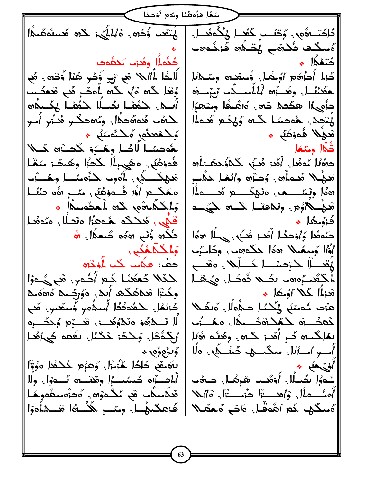مِّمُا فزُّوهُمُا وِمُوم أَوْحِدًا الْمَمَّضَى وَكَمَّاءٍ وَالْمَلَّىِّ: هَا مَا مَعْنَوْهَا دُاكْتَـْدُونْ) . وُقْتُـْبِ كَفُتْـا لِكُدْفُتْـا. ەمىكى ئىخىر چَقىدَا ھَزْمُدەت كُثْمَلًا ومُّذِب كَحْقُوب دُتْهُدًا ﴾ لَالْمُا لَمَايَا ﴾ وَاللَّهُ مِنْ يَوْجُرِ هُلَا ذُدُه . هَي كَنْمَا أَحَنُرْهُمْ أَوُحُمَا. وُصفَدْه وسَكْلًا هعَمْنُــا. وهُـــْ;ه ٱلملَـــــدُــ رُجْــــة وُقْداً كُلُّهَ ۞﴾ لَكُلُّهُ إِلَٰهَكُمْ رَبُّ مَلَّى قَدْمَكُمْتَتَ أســـد. حــفُصُــا بـصُـــلا حــفُصُــا عِكْـــمدُف حزَّمِيهُ الصَّحْمَ دَهِ . هَاهُمعُ الْمِعْدَمُ َ كَاثُمَا ۖ ثَدْهُدَلًا ۚ وَيُدْهَدُكُمْ ۖ ثُدَٰٓءَ ۖ أُسْرِ يُتْحِمْ. هُءَحِسًا كُنْ وَلِحْمِ مَحْمَلًا وَلِمُعْنُو وَلَمُعَهُمْ ﴾ مْدِيْلا فُەۏكُلٖ ؞ حدُدسُــا لَاحُــا مِـمَــَزِهِ كَحـــْتَ مَـــلا ذُكَا وَسُمُا فَوْهُهُ. وهْيِبِهْ! كَدُرْ! وهُبَكْ: مَغْلَ دَوُلًا مُوهُدًا. [هُدَ هُــَنَّ لَكُــاَوُحَكَــزَاْرَه تَعَهْدُكُمْ . لَمُهُوب حَذَّه مُسَا وَهَــَدُبَ هَيْمًا هُدامَه. وَحِبُّه والْعُا حَدَّب ەھَكَـــمْ اوُّا ھُـــەوْكُلّى. مَــــر ھُە ئىُـــا الأصل ويُسْتَسَمَعَ. وَتَوَجَّسُتُمْ هُمُسْتَمَالَ وَالْحُكُمُ وَقَوْمٍ لَكُمْ أَسْتَحْصَدُهُ ﴾ شن للأوُم. وتكفت الكسم لكهت قَمْي . مَحْكُمْ هُـُممُ ا مْتْحَلَّا . مَـُممُحَا كَزَوُمِكُمْ \* حَمْدَهُمْ أَوْادْحَكْمْ أَهُد: هُنَّىٰ إِحْمَالَ 20\$ الْمُحَمَّد  $\stackrel{*}{\bullet}$  . فَلَم هُ  $\stackrel{<}{\bullet}$  هُ هُمُا ا وَالْحَدَّهُكُمِ. اُوُّاا وَسِعَىلاً 30ا حكّدہ۔ وِحَاسَدٍ۔ حقَّ عَلَاسٍ لَكَ لَمُوْدُهِ يُقبِّلُ حَبْصِيُهِ مُسْلَمٌ . ٥قب لحَمْلا كَعفَصْا لَحْم أَشْمبِ. هَي يُحوْا لمَكْكُنْتُ مَنْ مَاتِ مِنْ مَاتِ الْمَسْتَمَرِينَ مِنْ مَاتِ مِنْ مِنْ مِنْ مِنْ مِنْ وحُنْزَا شَدْهُكُمْ أَبْدَ. هَوْرَضُنَدْ هُمَا مَدْ |قَدَمُلَا كَمَلاً آوُحُكُلُ ﴾ هِ مَنْ الْمَمْتَ الْكُمُّا حَدُّولًا وَ مَعَلا كَّرْتُعُلْ. لِكَعْدَتُكَلِّ أَمِيكُونِ وَمِيكَتِينٍ. هَي لَا تَــكِمُوْ هَلِكُوَهُـــز. هَـــرْمِ وَحكَـــرِه حْمحُــــــــــوْ، حَـــمَـــمَــــمُّـــــوْ، مَـمَــــَوْب لعُلگت کَے اُهُدَ کَی جَنْ وَهُنُو هُا رُجَّدُدًا. وَحَكَّرَ خَكْمًا. بِفَعِم كَهْدُمُ أسىر ٱسائل. مىڭىسچە كىئىگە. دلل  $\ast$   $\circ \circ \circ \circ \circ$ بِهَيْهِ خَاجًا هُنْبُا. وَهِرُم لَكَـٰعًا هُوَٰٓوْا \* وَنَعْصَفُهُمْ شُووُا ۚ بِمَسْلًا ﴾ أُوْهُــب هُرِهُــا ﴾ دـ وهُـب أَلْمَدْرَاهِ كَمِئْمِيْرًا وِهْنَسْهِ كَسْوَرًا. وَلَا أُه يُصِملُا. وُاهِ أَنْ حَزْبِ ثَلَ وَاللَّهُ مْكَمِيكُمْتْ مْحْ مُكْتَوْرُهِ . كَحَزُّه مَعْقُومِ**مُ**ا ەمىگچى غَمْ اُهُوقْا. ەَتْ ەْھەللا فَرْهَكُنَّهُــا. وَعَـــرِ لَكُــْهُا هُـــــالمُوْا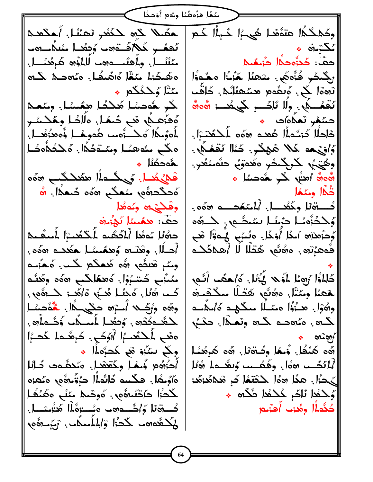مِّمُا فِزُوهُمُا وِمُومٍ أَوْحِدًا هَمَلا كَلِهِ لِمَكْعُدٍ تَعْشُلُ: أَهْلُعْكُمْ وكمككا متؤهل هيئ كبلا كم ئَعْفُسِ لَكَلَافُــةَ۞ وُتِكْسَا مُنْكُسِـ۞ت ئَكْتَرْمَة \* حقّ كُدْوْمِكْلِ جُنِمُيهِ ەھىخزا مىقا ەقمىگا. ەنەھى كە رِكْبِصُو فُزُّەكُمْ. مْتَعْلَمْ هُزُمُّ مَعْيَوْا ثَمِّهَا کِّي. وَبِعُومِ مِنْتَهِئَلَيْمَ. كَافُت مَثَلَ وَحَكَكُمْ \* لْحُرِ هُوَصِيُلِ هُكِشُلٍ هُمُسُلٍ. وِسُمَكُ تَفْعُـــكَمِ. وَلَا تُلَّكَـــرِ كَمِيعُـــزِ شَّـْ10\$ ەُفَوَّهُمْ مَنْ كُنْغَا. وَلَاكْتَا وَجَمْحَسُنِ |حسِّمُو تَعَدَّوَات \* حْاحلًا كَنْحَمْلًا هُمْدَ 500 لَمْحَمَّتْتِهِ. لَمَوَّىدًا مَكَـــتُومب هُوهِــا وُومِنُوَّط. ەڭى مەھئىل ومىتەگكا. كىككىمەگىل وَاوْيْهُمْ كَلَّا شَهْكُو. كَمُلَّا تَقْفُكُو. هُ مَحْمُلُهِ \* وئَعْتِيْ لَكُمْ كُمْلُو وَهُدَوْبُو تَدْمُنُغُونِ. ره وراث الله مسلم الله من الله به الله من الله به الله من الله من الله من الله عليه الله من الله من<br>مسائله الله عليه الله عليه الله عليه الله عليه الله عليه الله عليه الله عليه الله عليه الله عليه الله عليه الل قَعْنُ مِنْكَسْفَةَ الْمَكْرِيْنَ الْمَشْرَكَةَ ەَحكحەۋە مُمكى 500 كَىمكا. ق خُمَّا وسُمُا ئُمِّسَةَ لَمْ وَحَكْمِمْ إِلَى أَمْلَـٰهُ مِنْ مِنْ وَوَى مِنْ وَلَى مِنْ وَلَى مِنْ وَلَى مِنْ وَ وڤَكَيْهِ وَمُوهُل حقّ همّسلا تَهْزُمُه وَحْدُثُوُمُا حَبِّسُا سَمَحْــٰهِ ۖ حَــٰهُ مَـٰهُ مِنْ حَوُّلًا مُوهُا ٱلْمُحَمَّد لِمُكْتَحِبَّا لِمُسَقَّد وَحْزَمِنَاهِ ٱمْكَا أَوْحُا. ويُنُبِي لِمَحَوْاً شَيْ أَهْوَمُ مَنْ وَهُوْ مَوْسًا ﴾ [السَّمرة: 10] [الصحيف أحبلًا. وقتسه وُهمْسُلْ هِقُعْدُ 2009. وِسَٰرٍ شَلِقُو ۞ \$ هَلْعَكُمْ كُلْبٍ. هُجُزَّتُ كِمِلْهُ الْهَيْمَا لَهُ لَيُوْلَى الْمُهْلَفِينَ وَالْمَحْسَنَ لَهُ الْمَجَمَعِينَ وَالْمَجَمَعِينَ مْمُنُوبٍ كُنْتُبُوْلُ. هُعْكُلِكُبِ 200 وَهُلُدُ كَــَـدِ هُـُلْ هَـدُلُمْ هُــزُو هُـُهُـدَ جَــدِهُمْ. هْعِمُا وِمَثَاً. 50ُهُ هُدَّاًا مِكْفَـة وهُه ورُكِــد أَـــرْه حكَــدَا). هُدُّحـىـُـا وَهُوْلَ. هَـٰٓئُوَّا مَـَّـَـلَّا مَـکَّلِّـهِ مَّامِلَّـهِ لحَقَّـهِدُدُه . وَحقُصل لَمَـــكُ وَخُـــملَه . لكتهن وَمُتَحْدَدَ حَسَنًا فَقَدْ الْمَسْتَمَالِ حَدْمُ ەھٓے ﻠَﯩﻠﯩﻤَﯩــُ;ﺍ ٱرۡوَكَــِ . كَـٰٓوَهُــما لَكَـــُ;ﺍ တ္ပ္ၿမိဳ႕ هُ٥ كَنُعُل. ذُمْلَ وِحُــٰٓةِ لَل. هُ٥ كَـٰهِ مُـٰل وِكَّى سَنَّزَوْ هُو غُجرُّها ﴾ أُدَرُهُم نُعط وكَقفط. مَحفَّدت كَالَا ٱلْمُكَـــد «هُا). وكُكُـــد وُبِعْــدا ﴿ وَلَا وَآوُمِكُلْ. فَكَسَمْ كَالثَّمَلُّا حَزَّقُوهُمْ وَنُعْوَة حَدُّا. هَذَا هَءُا حَقَّتَهُا کَرِ شَدْهَدَهُدَ لْكَتُزَا حَاطّْنُدْهُوب. هُوصْه مَنْكِ هَكَنْقُـا أَوُ حَمُّداً نَاحُہ خُلْحُمَا حُكْم ﴾ حُذُماُ! وهُذِب أَكْنُبِهِ كُـــةْلَا وُاكْـــەھــ ەـُـــــْقَطْا هَنُوحْـــا. لْكَمُّدْهَمَا كَدُّا وْالْمُلْمَدَّا. وْغَسْتُمْ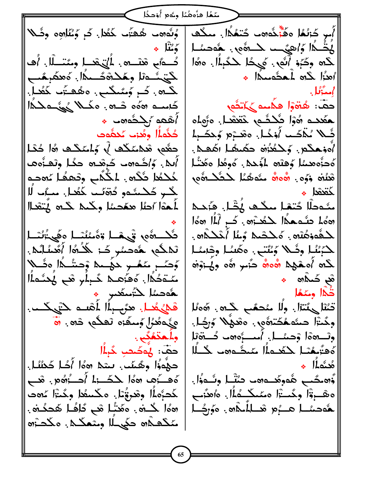مِّمُا فزُّوهُمُا وهُو أَوْحِدًا أَسٍ جَٰٓ;نُمُا هَفَّبْنُهُ۞ شَتَمُكُا. مملُكَ وُلُّەھب ھُڪْتُب كَحُلْ. كَم وَعُمَّاهِه وِشَلَا وْيَتْلْ پ لَمَشْكَمَا وَاهِيَنِ مَسْرَهَا وَالْمَشْتَلَ صُحْكَ هُنَّــهِ. لَمُ تَحْمَــلَّــ وَمُتَــلَّلَ. أَهَــ كُتُهِ وِكَبُوْ أَلْقَهِ. يَحِيْكُمْ لَكُثَبِلَمْا. ٥١٥ امدُ الْمَدُّومِ لِمَ الْمَدَّومِيمَا كَتَيْحُدْنَا وِهُكَذَّةَكُــْمَاْ. هُمْكُرِهُب كە. كېرۇشكې. ەھقىت كەل. امىنْۇل حقَّ: هُوَوْا هِمُسَمَّى لِمَتَقَّعَ كَمْسَدْهِ مِنْ مِنْ مِنْ مَا مُحَمَّلًا مِنْ مِنْ مَسْتَمَامًا  $\ast$  أَهْمَه  $\ast$  أَهْمَه  $\ast$ مَعَدے هُوۡۤا ضَکۡشَے ٖ خَتَعۡتَصَا۔ هُ وَدۡاه ثَــلا مُكْتَــب أُوْجُـل. هڤــرْم وُحَصَـٰبِطْ حُذُّماً وهُنِ مُحفُّوف حقُم مُدْمَعُكُم ﴾ وُامْعُكُم هُا حُدًا أەزىمگىر. كَرْحُمْرُو حَكْمَعْدا اكْصَدْ. كُحزُّەھىمُا وُقْلَة ۖ لَمُوْهَدِ. كُوهُا وَهُنَّا أَلَّهُ. وُاُشُّەھب كَرِثْدِه حكًّا وِلْعَزُّەهـ لْمُحْمَدُ ثَكْلُهِ. لَمُخُكْبِ وِتَـْعَفُـلُ مُوحِـهِ هْلُهْ وَوُهِ . 500 مُتَمَطَّطُ لَلْمُلْكُمْ وَهُمْ لْحُــرِ كَـحْــشُــهُو فُقْفُــت كَـفُجـلَ. مَــِلَفَ لَل لمُتَعْتَعَط \* مْعدَلًا مُتمْا مكْد هُتْدا. فَرَحك لمُعْدَا اَحِبُا مِكْحِسُا وِكْمِهِ حَمْدِهِ لِمَتْعَمِدِ ادْمًا عِنْدِهِدًا لِكَمْنْزَاهِ . كَبِرِ أَلَمَّا ادْمَا لْحَقُودُهُنُّهُ . هَكْشُكُمْ وُمِئْلُ أَشْكَلُهُ . لَــْتَاتِيْرِهِمَا لَـتَنْنَبُهُ تَاـَـمَنْ وَهُـــَكُ مِ تَمْكُمْ هُوَصِبُرٍ كُمْ لَهُدُوا إِمُّعَبُّلَكُمْ. لِّدَّمُّلْ وَشَلاً وَمُّتَبٍ. هَمَّسُلُ وِشِهْدَا كَلَّهُ أَهْمُهُمْ مُؤَهَّةٌ حَنْسٍ هُوَ وَلِخَوْفِهِ وُحمَّـــرِ مَعْصُـــرِ حكَّـــما وْحسَّــدَّا وصُّــلا مَنْدَهُا). هُڪَرَه جَدِيلَرِ هُي فَحِنَـْدَاْا  $\sim$   $\sim$   $\sim$ ـ هُەھىمُا لِمُتَسَمَّسِ ﴾ اخْدًا وحَمْلا في المستركة الْمَجِنَّ الْمُحَمَّد السَّمَرِيَّة عَلَى السَّمَرِيَّة عَلَى السَّمَرِيَّة عَلَى السَّ تَمْتَلْمِ يَتْتَرَا. وِلَا مُحْصَدُ لِلْهِ بِٱلْمَتْمَرِ لِتَدْمِرِ الْمَنْتَ ى ئەھدۇل كۆممەت تىكىم ئەن مۇ وِكُنْزَا حِنُّهِ هُكَنْشُيْ، وَشَوْيَا وَرِكَا. ولمعتمَّكِين حقّ لمحكّ من كَرامًا كَافَتُوهُمْا لِلْكُلّْحَةُ الْمُتَحْدِدِينَ الْخُلَلَا حهْوُا وهُسًى. ىسْلا 10% أُصُل كَحسُل. هُدُهُ أَل هُهِــَوْمِ هِهُمْ لَهُــَـوْلَمْ أُهِـــُرْهُمْ. هَـــو ؤُهِيكَبِ هُومُ وَهُــوهب حَبّْبِ] وِثَّـووَا. لَكْحَرُّهِ أَلَّا وَشَرَّةُ بِمَا حَكْسَعُهِ وَحَكَّنَ الْمُحْتَ ەھْبوۋا وڭىسۋا ەممىڭگىلار. ەاھۇب هُوصئــا هـــرُم هَـــالمَـدْهو. ووُرجُــا اهْ الْحُــْـةِ . مَعْنُـِلْ هَــبِ كُلْعُــلِ هَـحَـكَــةِ . مَكْدِمُ مَكْمِيلًا وِسْعَكْمْ. مَكْدَرْه